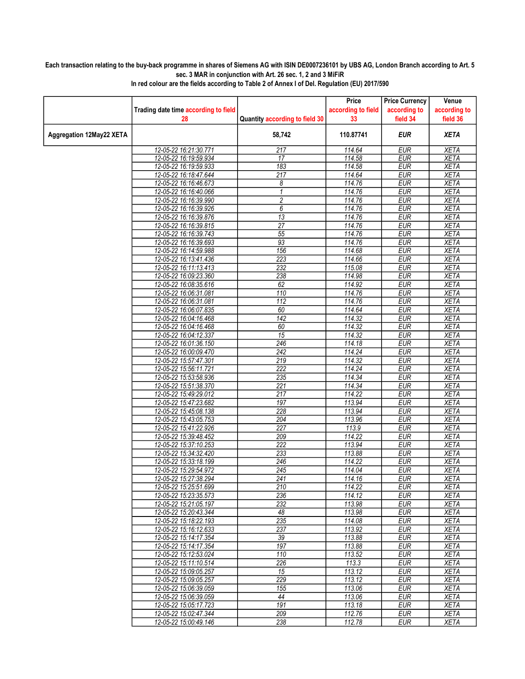## Each transaction relating to the buy-back programme in shares of Siemens AG with ISIN DE0007236101 by UBS AG, London Branch according to Art. 5 sec. 3 MAR in conjunction with Art. 26 sec. 1, 2 and 3 MiFiR

|                          |                                                |                                | Price              | <b>Price Currency</b>    | Venue                      |
|--------------------------|------------------------------------------------|--------------------------------|--------------------|--------------------------|----------------------------|
|                          | Trading date time according to field           |                                | according to field | according to             | according to               |
|                          | 28                                             | Quantity according to field 30 | 33                 | field 34                 | field 36                   |
| Aggregation 12May22 XETA |                                                | 58,742                         | 110.87741          | <b>EUR</b>               | <b>XETA</b>                |
|                          | 12-05-22 16:21:30.771                          | 217                            | 114.64             | <b>EUR</b>               | <b>XETA</b>                |
|                          | 12-05-22 16:19:59.934                          | $\overline{17}$                | 114.58             | <b>EUR</b>               | <b>XETA</b>                |
|                          | 12-05-22 16:19:59.933                          | 183                            | 114.58             | <b>EUR</b>               | <b>XETA</b>                |
|                          | 12-05-22 16:18:47.644                          | 217                            | 114.64             | <b>EUR</b>               | <b>XETA</b>                |
|                          | 12-05-22 16:16:46.673                          | 8                              | 114.76             | <b>EUR</b>               | <b>XETA</b>                |
|                          | 12-05-22 16:16:40.066                          | 1                              | 114.76             | <b>EUR</b>               | <b>XETA</b>                |
|                          | 12-05-22 16:16:39.990                          | $\boldsymbol{2}$               | 114.76             | <b>EUR</b>               | <b>XETA</b>                |
|                          | 12-05-22 16:16:39.926                          | 6                              | 114.76             | <b>EUR</b>               | <b>XETA</b>                |
|                          | 12-05-22 16:16:39.876                          | $\overline{13}$                | 114.76             | EUR                      | <b>XETA</b>                |
|                          | 12-05-22 16:16:39.815<br>12-05-22 16:16:39.743 | 27<br>55                       | 114.76<br>114.76   | <b>EUR</b><br><b>EUR</b> | <b>XETA</b><br><b>XETA</b> |
|                          | 12-05-22 16:16:39.693                          | 93                             | 114.76             | <b>EUR</b>               | <b>XETA</b>                |
|                          | 12-05-22 16:14:59.988                          | 156                            | 114.68             | <b>EUR</b>               | <b>XETA</b>                |
|                          | 12-05-22 16:13:41.436                          | 223                            | 114.66             | <b>EUR</b>               | <b>XETA</b>                |
|                          | 12-05-22 16:11:13.413                          | 232                            | 115.08             | <b>EUR</b>               | <b>XETA</b>                |
|                          | 12-05-22 16:09:23.360                          | 238                            | 114.98             | <b>EUR</b>               | <b>XETA</b>                |
|                          | 12-05-22 16:08:35.616                          | 62                             | 114.92             | <b>EUR</b>               | <b>XETA</b>                |
|                          | 12-05-22 16:06:31.081                          | 110                            | 114.76             | <b>EUR</b>               | <b>XETA</b>                |
|                          | 12-05-22 16:06:31.081                          | 112                            | 114.76             | <b>EUR</b>               | <b>XETA</b>                |
|                          | 12-05-22 16:06:07.835                          | 60                             | 114.64             | <b>EUR</b>               | <b>XETA</b>                |
|                          | 12-05-22 16:04:16.468                          | 142                            | 114.32             | <b>EUR</b>               | <b>XETA</b>                |
|                          | 12-05-22 16:04:16.468                          | 60                             | 114.32             | <b>EUR</b>               | <b>XETA</b>                |
|                          | 12-05-22 16:04:12.337                          | $\overline{15}$                | 114.32             | <b>EUR</b>               | <b>XETA</b>                |
|                          | 12-05-22 16:01:36.150                          | 246                            | 114.18             | <b>EUR</b>               | <b>XETA</b>                |
|                          | 12-05-22 16:00:09.470                          | $\overline{242}$               | 114.24             | <b>EUR</b>               | <b>XETA</b>                |
|                          | 12-05-22 15:57:47.301                          | 219                            | 114.32             | <b>EUR</b>               | <b>XETA</b>                |
|                          | 12-05-22 15:56:11.721                          | 222                            | 114.24             | <b>EUR</b>               | <b>XETA</b>                |
|                          | 12-05-22 15:53:58.936                          | 235                            | 114.34             | <b>EUR</b>               | <b>XETA</b>                |
|                          | 12-05-22 15:51:38.370                          | 221                            | 114.34             | <b>EUR</b>               | <b>XETA</b>                |
|                          | 12-05-22 15:49:29.012<br>12-05-22 15:47:23.682 | 217<br>197                     | 114.22<br>113.94   | <b>EUR</b><br><b>EUR</b> | <b>XETA</b><br><b>XETA</b> |
|                          | 12-05-22 15:45:08.138                          | 228                            | 113.94             | <b>EUR</b>               | <b>XETA</b>                |
|                          | 12-05-22 15:43:05.753                          | 204                            | 113.96             | <b>EUR</b>               | <b>XETA</b>                |
|                          | 12-05-22 15:41:22.926                          | $\overline{227}$               | 113.9              | EUR                      | <b>XETA</b>                |
|                          | 12-05-22 15:39:48.452                          | 209                            | 114.22             | <b>EUR</b>               | <b>XETA</b>                |
|                          | 12-05-22 15:37:10.253                          | 222                            | 113.94             | <b>EUR</b>               | <b>XETA</b>                |
|                          | 12-05-22 15:34:32.420                          | 233                            | 113.88             | <b>EUR</b>               | <b>XETA</b>                |
|                          | 12-05-22 15:33:18.199                          | 246                            | 114.22             | <b>EUR</b>               | <b>XETA</b>                |
|                          | 12-05-22 15:29:54.972                          | 245                            | 114.04             | <b>EUR</b>               | <b>XETA</b>                |
|                          | 12-05-22 15:27:38.294                          | 241                            | 114.16             | <b>EUR</b>               | <b>XETA</b>                |
|                          | 12-05-22 15:25:51.699                          | 210                            | 114.22             | <b>EUR</b>               | <b>XETA</b>                |
|                          | 12-05-22 15:23:35.573                          | 236                            | 114.12             | <b>EUR</b>               | <b>XETA</b>                |
|                          | 12-05-22 15:21:05.197                          | 232                            | 113.98             | <b>EUR</b>               | <b>XETA</b>                |
|                          | 12-05-22 15:20:43.344<br>12-05-22 15:18:22.193 | 48<br>235                      | 113.98<br>114.08   | <b>EUR</b><br><b>EUR</b> | <b>XETA</b><br><b>XETA</b> |
|                          | 12-05-22 15:16:12.633                          | 237                            | 113.92             | <b>EUR</b>               | <b>XETA</b>                |
|                          | 12-05-22 15:14:17.354                          | 39                             | 113.88             | <b>EUR</b>               | <b>XETA</b>                |
|                          | 12-05-22 15:14:17.354                          | 197                            | 113.88             | <b>EUR</b>               | <b>XETA</b>                |
|                          | 12-05-22 15:12:53.024                          | 110                            | 113.52             | <b>EUR</b>               | XETA                       |
|                          | 12-05-22 15:11:10.514                          | 226                            | 113.3              | <b>EUR</b>               | <b>XETA</b>                |
|                          | 12-05-22 15:09:05.257                          | 15                             | 113.12             | <b>EUR</b>               | <b>XETA</b>                |
|                          | 12-05-22 15:09:05.257                          | 229                            | 113.12             | <b>EUR</b>               | <b>XETA</b>                |
|                          | 12-05-22 15:06:39.059                          | 155                            | 113.06             | <b>EUR</b>               | <b>XETA</b>                |
|                          | 12-05-22 15:06:39.059                          | 44                             | 113.06             | <b>EUR</b>               | <b>XETA</b>                |
|                          | 12-05-22 15:05:17.723                          | 191                            | 113.18             | <b>EUR</b>               | <b>XETA</b>                |
|                          | 12-05-22 15:02:47.344                          | 209                            | 112.76             | <b>EUR</b>               | <b>XETA</b>                |
|                          | 12-05-22 15:00:49.146                          | 238                            | 112.78             | <b>EUR</b>               | <b>XETA</b>                |

In red colour are the fields according to Table 2 of Annex I of Del. Regulation (EU) 2017/590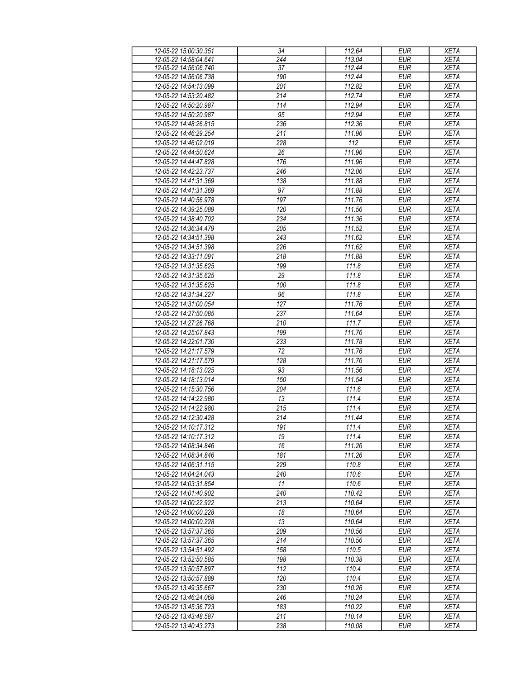| 12-05-22 15:00:30.351 | 34               | 112.64           | <b>EUR</b> | <b>XETA</b> |
|-----------------------|------------------|------------------|------------|-------------|
| 12-05-22 14:58:04.641 | 244              | 113.04           | <b>EUR</b> | <b>XETA</b> |
| 12-05-22 14:56:06.740 | 37               | 112.44           | <b>EUR</b> | <b>XETA</b> |
|                       | 190              | 112.44           | <b>EUR</b> | <b>XETA</b> |
| 12-05-22 14:56:06.738 |                  |                  |            |             |
| 12-05-22 14:54:13.099 | 201              | 112.82           | EUR        | <b>XETA</b> |
| 12-05-22 14:53:20.482 | 214              | 112.74           | <b>EUR</b> | <b>XETA</b> |
| 12-05-22 14:50:20.987 | 114              | 112.94           | <b>EUR</b> | <b>XETA</b> |
| 12-05-22 14:50:20.987 | 95               | 112.94           | <b>EUR</b> | <b>XETA</b> |
|                       |                  |                  |            |             |
| 12-05-22 14:48:26.815 | 236              | 112.36           | <b>EUR</b> | <b>XETA</b> |
| 12-05-22 14:46:29.254 | 211              | 111.96           | <b>EUR</b> | <b>XETA</b> |
| 12-05-22 14:46:02.019 | 228              | $\overline{112}$ | <b>EUR</b> | <b>XETA</b> |
| 12-05-22 14:44:50.624 | 26               | 111.96           | <b>EUR</b> | <b>XETA</b> |
| 12-05-22 14:44:47.828 | 176              | 111.96           | <b>EUR</b> | <b>XETA</b> |
|                       |                  |                  |            |             |
| 12-05-22 14:42:23.737 | 246              | 112.06           | <b>EUR</b> | <b>XETA</b> |
| 12-05-22 14:41:31.369 | 138              | 111.88           | <b>EUR</b> | <b>XETA</b> |
| 12-05-22 14:41:31.369 | 97               | 111.88           | <b>EUR</b> | <b>XETA</b> |
| 12-05-22 14:40:56.978 | 197              | 111.76           | <b>EUR</b> | <b>XETA</b> |
| 12-05-22 14:39:25.089 | 120              | 111.56           | <b>EUR</b> | <b>XETA</b> |
|                       |                  |                  |            |             |
| 12-05-22 14:38:40.702 | 234              | 111.36           | <b>EUR</b> | <b>XETA</b> |
| 12-05-22 14:36:34.479 | 205              | 111.52           | <b>EUR</b> | <b>XETA</b> |
| 12-05-22 14:34:51.398 | 243              | 111.62           | <b>EUR</b> | <b>XETA</b> |
| 12-05-22 14:34:51.398 | 226              | 111.62           | <b>EUR</b> | <b>XETA</b> |
| 12-05-22 14:33:11.091 | $\overline{218}$ | 111.88           | EUR        | <b>XETA</b> |
|                       |                  |                  |            |             |
| 12-05-22 14:31:35.625 | 199              | 111.8            | <b>EUR</b> | <b>XETA</b> |
| 12-05-22 14:31:35.625 | $\overline{29}$  | 111.8            | EUR        | <b>XETA</b> |
| 12-05-22 14:31:35.625 | 100              | 111.8            | <b>EUR</b> | <b>XETA</b> |
| 12-05-22 14:31:34.227 | 96               | 111.8            | <b>EUR</b> | <b>XETA</b> |
| 12-05-22 14:31:00.054 | 127              | 111.76           | <b>EUR</b> | <b>XETA</b> |
| 12-05-22 14:27:50.085 | 237              | 111.64           | <b>EUR</b> | <b>XETA</b> |
|                       |                  |                  |            |             |
| 12-05-22 14:27:26.768 | $\overline{210}$ | 111.7            | <b>EUR</b> | <b>XETA</b> |
| 12-05-22 14:25:07.843 | 199              | 111.76           | <b>EUR</b> | <b>XETA</b> |
| 12-05-22 14:22:01.730 | 233              | 111.78           | <b>EUR</b> | <b>XETA</b> |
| 12-05-22 14:21:17.579 | 72               | 111.76           | <b>EUR</b> | <b>XETA</b> |
| 12-05-22 14:21:17.579 | 128              | 111.76           | <b>EUR</b> | <b>XETA</b> |
|                       |                  |                  |            |             |
| 12-05-22 14:18:13.025 | 93               | 111.56           | <b>EUR</b> | <b>XETA</b> |
| 12-05-22 14:18:13.014 | 150              | 111.54           | <b>EUR</b> | <b>XETA</b> |
| 12-05-22 14:15:30.756 | 204              | 111.6            | <b>EUR</b> | <b>XETA</b> |
| 12-05-22 14:14:22.980 | 13               | 111.4            | <b>EUR</b> | <b>XETA</b> |
| 12-05-22 14:14:22.980 | 215              | 111.4            | <b>EUR</b> | <b>XETA</b> |
| 12-05-22 14:12:30.428 |                  |                  |            |             |
|                       | 214              | 111.44           | <b>EUR</b> | <b>XETA</b> |
| 12-05-22 14:10:17.312 | 191              | 111.4            | EUR        | <b>XETA</b> |
| 12-05-22 14:10:17.312 | 19               | 111.4            | <b>EUR</b> | <b>XETA</b> |
| 12-05-22 14:08:34.846 | 16               | 111.26           | EUR        | <b>XETA</b> |
| 12-05-22 14:08:34.846 | 181              | 111.26           | <b>EUR</b> | <b>XETA</b> |
| 12-05-22 14:06:31.115 | 229              | 110.8            | <b>EUR</b> | <b>XETA</b> |
|                       |                  |                  |            |             |
| 12-05-22 14:04:24.043 | 240              | 110.6            | <b>EUR</b> | <b>XETA</b> |
| 12-05-22 14:03:31.854 | 11               | 110.6            | <b>EUR</b> | <b>XETA</b> |
| 12-05-22 14:01:40.902 | 240              | 110.42           | <b>EUR</b> | <b>XETA</b> |
| 12-05-22 14:00:22.922 | 213              | 110.64           | <b>EUR</b> | <b>XETA</b> |
| 12-05-22 14:00:00.228 | 18               | 110.64           | <b>EUR</b> | <b>XETA</b> |
| 12-05-22 14:00:00.228 | 13               | 110.64           | <b>EUR</b> | <b>XETA</b> |
|                       |                  |                  |            |             |
| 12-05-22 13:57:37.365 | 209              | 110.56           | <b>EUR</b> | <b>XETA</b> |
| 12-05-22 13:57:37.365 | 214              | 110.56           | <b>EUR</b> | <b>XETA</b> |
| 12-05-22 13:54:51.492 | 158              | 110.5            | <b>EUR</b> | <b>XETA</b> |
| 12-05-22 13:52:50.585 | 198              | 110.38           | <b>EUR</b> | <b>XETA</b> |
| 12-05-22 13:50:57.897 | 112              | 110.4            | <b>EUR</b> | <b>XETA</b> |
| 12-05-22 13:50:57.889 | 120              | 110.4            | <b>EUR</b> | <b>XETA</b> |
|                       |                  |                  |            |             |
| 12-05-22 13:49:35.667 | 230              | 110.26           | <b>EUR</b> | <b>XETA</b> |
| 12-05-22 13:46:24.068 | 246              | 110.24           | <b>EUR</b> | <b>XETA</b> |
| 12-05-22 13:45:36.723 | 183              | 110.22           | <b>EUR</b> | <b>XETA</b> |
| 12-05-22 13:43:48.587 | 211              | 110.14           | <b>EUR</b> | <b>XETA</b> |
| 12-05-22 13:40:43.273 | 238              | 110.08           | <b>EUR</b> | <b>XETA</b> |
|                       |                  |                  |            |             |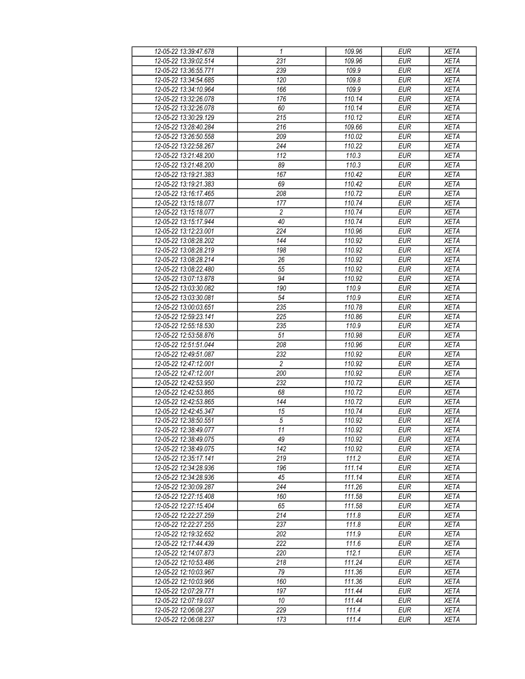| 12-05-22 13:39:47.678                          | 1                    | 109.96           | <b>EUR</b>               | <b>XETA</b>                |
|------------------------------------------------|----------------------|------------------|--------------------------|----------------------------|
| 12-05-22 13:39:02.514                          | 231                  | 109.96           | <b>EUR</b>               | <b>XETA</b>                |
| 12-05-22 13:36:55.771                          | 239                  | 109.9            | <b>EUR</b>               | <b>XETA</b>                |
| 12-05-22 13:34:54.685                          | 120                  | 109.8            | <b>EUR</b>               | <b>XETA</b>                |
| 12-05-22 13:34:10.964                          | 166                  | 109.9            | <b>EUR</b>               | <b>XETA</b>                |
| 12-05-22 13:32:26.078                          | 176                  | 110.14           | <b>EUR</b>               | <b>XETA</b>                |
| 12-05-22 13:32:26.078                          | 60                   | 110.14           | <b>EUR</b>               | <b>XETA</b>                |
| 12-05-22 13:30:29.129                          | 215                  | 110.12           | <b>EUR</b>               | <b>XETA</b>                |
| 12-05-22 13:28:40.284                          | 216                  | 109.66           | <b>EUR</b>               | <b>XETA</b>                |
| 12-05-22 13:26:50.558                          | 209                  | 110.02           | <b>EUR</b>               | <b>XETA</b>                |
| 12-05-22 13:22:58.267                          | 244                  | 110.22           | <b>EUR</b>               | <b>XETA</b>                |
| 12-05-22 13:21:48.200                          | 112                  | 110.3            | <b>EUR</b>               | <b>XETA</b>                |
| 12-05-22 13:21:48.200                          | 89                   | 110.3            | <b>EUR</b>               | <b>XETA</b>                |
| 12-05-22 13:19:21.383                          | 167                  | 110.42           | <b>EUR</b>               | <b>XETA</b>                |
| 12-05-22 13:19:21.383                          | 69                   | 110.42           | <b>EUR</b>               | <b>XETA</b>                |
| 12-05-22 13:16:17.465                          | 208                  | 110.72           | <b>EUR</b>               | <b>XETA</b>                |
| 12-05-22 13:15:18.077                          | 177                  | 110.74           | <b>EUR</b>               | <b>XETA</b>                |
| 12-05-22 13:15:18.077                          | $\overline{c}$       | 110.74           | <b>EUR</b>               | <b>XETA</b>                |
| 12-05-22 13:15:17.944                          | 40                   | 110.74           | <b>EUR</b>               | <b>XETA</b>                |
| 12-05-22 13:12:23.001                          | 224                  | 110.96           | <b>EUR</b>               | <b>XETA</b>                |
| 12-05-22 13:08:28.202                          | 144                  | 110.92           | <b>EUR</b>               | <b>XETA</b>                |
| 12-05-22 13:08:28.219                          | 198                  | 110.92           | <b>EUR</b>               | <b>XETA</b>                |
| 12-05-22 13:08:28.214                          | 26                   | 110.92           | <b>EUR</b>               | <b>XETA</b>                |
| 12-05-22 13:08:22.480                          | 55                   | 110.92           | <b>EUR</b>               | <b>XETA</b>                |
| 12-05-22 13:07:13.878                          | 94                   | 110.92           | <b>EUR</b>               | <b>XETA</b>                |
| 12-05-22 13:03:30.082                          | 190                  | 110.9            | <b>EUR</b>               | <b>XETA</b>                |
| 12-05-22 13:03:30.081                          | 54                   | 110.9            | <b>EUR</b>               | <b>XETA</b>                |
| 12-05-22 13:00:03.651                          | 235                  | 110.78           | <b>EUR</b>               | <b>XETA</b>                |
| 12-05-22 12:59:23.141                          | 225                  | 110.86           | <b>EUR</b>               | <b>XETA</b>                |
| 12-05-22 12:55:18.530                          | 235                  | 110.9            | <b>EUR</b>               | <b>XETA</b>                |
|                                                |                      |                  |                          |                            |
| 12-05-22 12:53:58.876<br>12-05-22 12:51:51.044 | 51<br>208            | 110.98<br>110.96 | <b>EUR</b><br><b>EUR</b> | <b>XETA</b><br><b>XETA</b> |
|                                                | 232                  | 110.92           | <b>EUR</b>               | <b>XETA</b>                |
| 12-05-22 12:49:51.087<br>12-05-22 12:47:12.001 | $\overline{c}$       | 110.92           | <b>EUR</b>               | <b>XETA</b>                |
| 12-05-22 12:47:12.001                          | 200                  | 110.92           | <b>EUR</b>               | <b>XETA</b>                |
| 12-05-22 12:42:53.950                          | 232                  |                  |                          | <b>XETA</b>                |
|                                                |                      | 110.72<br>110.72 | <b>EUR</b>               |                            |
| 12-05-22 12:42:53.865                          | 68<br>144            |                  | <b>EUR</b>               | <b>XETA</b>                |
| 12-05-22 12:42:53.865                          |                      | 110.72           | <b>EUR</b><br><b>EUR</b> | <b>XETA</b><br><b>XETA</b> |
| 12-05-22 12:42:45.347<br>12-05-22 12:38:50.551 | 15<br>$\overline{5}$ | 110.74<br>110.92 |                          |                            |
|                                                |                      |                  | <b>EUR</b>               | <b>XETA</b>                |
| 12-05-22 12:38:49.077<br>12-05-22 12:38:49.075 | $\overline{11}$      | 110.92           | EUR                      | <b>XETA</b>                |
|                                                | 49                   | 110.92           | <b>EUR</b>               | <b>XETA</b>                |
| 12-05-22 12:38:49.075<br>12-05-22 12:35:17.141 | 142<br>219           | 110.92<br>111.2  | <b>EUR</b><br><b>EUR</b> | <b>XETA</b>                |
|                                                |                      |                  |                          | <b>XETA</b>                |
| 12-05-22 12:34:28.936<br>12-05-22 12:34:28.936 | 196<br>45            | 111.14<br>111.14 | <b>EUR</b><br><b>EUR</b> | <b>XETA</b><br><b>XETA</b> |
|                                                |                      |                  |                          |                            |
| 12-05-22 12:30:09.287                          | 244                  | 111.26           | <b>EUR</b>               | <b>XETA</b>                |
| 12-05-22 12:27:15.408                          | 160                  | 111.58           | <b>EUR</b>               | <b>XETA</b>                |
| 12-05-22 12:27:15.404<br>12-05-22 12:22:27.259 | 65                   | 111.58           | <b>EUR</b>               | <b>XETA</b>                |
|                                                | 214                  | 111.8            | <b>EUR</b>               | <b>XETA</b>                |
| 12-05-22 12:22:27.255                          | 237                  | 111.8            | <b>EUR</b>               | <b>XETA</b>                |
| 12-05-22 12:19:32.652                          | 202                  | 111.9            | <b>EUR</b>               | <b>XETA</b>                |
| 12-05-22 12:17:44.439                          | 222                  | 111.6            | <b>EUR</b>               | <b>XETA</b>                |
| 12-05-22 12:14:07.873                          | 220                  | 112.1            | <b>EUR</b>               | <b>XETA</b>                |
| 12-05-22 12:10:53.486                          | 218                  | 111.24           | <b>EUR</b>               | <b>XETA</b>                |
| 12-05-22 12:10:03.967                          | 79                   | 111.36           | <b>EUR</b>               | <b>XETA</b>                |
| 12-05-22 12:10:03.966                          | 160                  | 111.36           | <b>EUR</b>               | <b>XETA</b>                |
| 12-05-22 12:07:29.771                          | 197                  | 111.44           | <b>EUR</b>               | <b>XETA</b>                |
| 12-05-22 12:07:19.037                          | 10                   | 111.44           | <b>EUR</b>               | <b>XETA</b>                |
| 12-05-22 12:06:08.237                          | 229                  | 111.4            | <b>EUR</b>               | <b>XETA</b>                |
| 12-05-22 12:06:08.237                          | 173                  | 111.4            | <b>EUR</b>               | <b>XETA</b>                |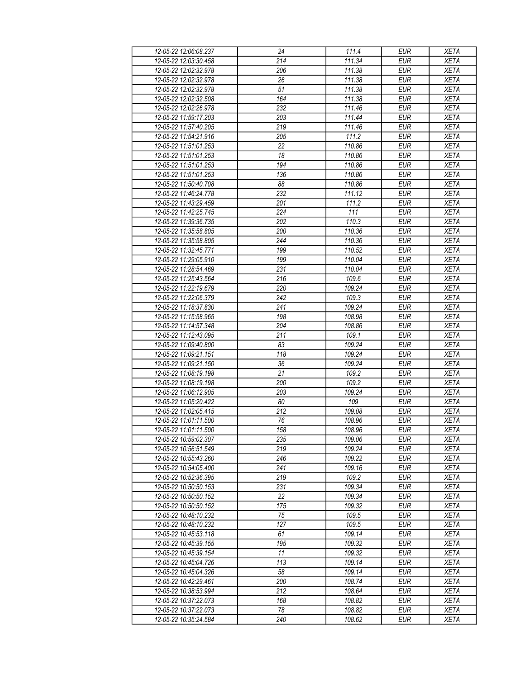| 12-05-22 12:06:08.237 | 24              | 111.4               | <b>EUR</b>               | <b>XETA</b> |
|-----------------------|-----------------|---------------------|--------------------------|-------------|
| 12-05-22 12:03:30.458 | 214             | 111.34              | <b>EUR</b>               | <b>XETA</b> |
| 12-05-22 12:02:32.978 | 206             | 111.38              | <b>EUR</b>               | <b>XETA</b> |
| 12-05-22 12:02:32.978 | 26              | 111.38              | <b>EUR</b>               | <b>XETA</b> |
| 12-05-22 12:02:32.978 | 51              | 111.38              | <b>EUR</b>               | <b>XETA</b> |
| 12-05-22 12:02:32.508 | 164             | 111.38              | <b>EUR</b>               | <b>XETA</b> |
| 12-05-22 12:02:26.978 | 232             | 111.46              | <b>EUR</b>               | <b>XETA</b> |
| 12-05-22 11:59:17.203 | 203             | 111.44              | <b>EUR</b>               | <b>XETA</b> |
| 12-05-22 11:57:40.205 | 219             | 111.46              | <b>EUR</b>               | <b>XETA</b> |
| 12-05-22 11:54:21.916 | 205             | 111.2               | <b>EUR</b>               | <b>XETA</b> |
| 12-05-22 11:51:01.253 | 22              | 110.86              | <b>EUR</b>               | <b>XETA</b> |
| 12-05-22 11:51:01.253 | 18              | 110.86              | <b>EUR</b>               | <b>XETA</b> |
| 12-05-22 11:51:01.253 | 194             | 110.86              | <b>EUR</b>               | <b>XETA</b> |
| 12-05-22 11:51:01.253 | 136             | 110.86              | <b>EUR</b>               | <b>XETA</b> |
| 12-05-22 11:50:40.708 | $\overline{88}$ | 110.86              | <b>EUR</b>               | <b>XETA</b> |
| 12-05-22 11:46:24.778 | 232             | 111.12              | <b>EUR</b>               | <b>XETA</b> |
| 12-05-22 11:43:29.459 | 201             | 111.2               | EUR                      | <b>XETA</b> |
| 12-05-22 11:42:25.745 | 224             | 111                 | <b>EUR</b>               | <b>XETA</b> |
| 12-05-22 11:39:36.735 | 202             | 110.3               | <b>EUR</b>               | <b>XETA</b> |
|                       |                 | 110.36              |                          | <b>XETA</b> |
| 12-05-22 11:35:58.805 | 200<br>244      |                     | <b>EUR</b><br><b>EUR</b> |             |
| 12-05-22 11:35:58.805 |                 | 110.36              |                          | <b>XETA</b> |
| 12-05-22 11:32:45.771 | 199             | 110.52              | <b>EUR</b>               | <b>XETA</b> |
| 12-05-22 11:29:05.910 | 199             | 110.04              | <b>EUR</b>               | <b>XETA</b> |
| 12-05-22 11:28:54.469 | 231             | 110.04              | <b>EUR</b>               | <b>XETA</b> |
| 12-05-22 11:25:43.564 | 216             | 109.6               | <b>EUR</b>               | <b>XETA</b> |
| 12-05-22 11:22:19.679 | 220             | 109.24              | <b>EUR</b>               | <b>XETA</b> |
| 12-05-22 11:22:06.379 | 242             | 109.3               | <b>EUR</b>               | <b>XETA</b> |
| 12-05-22 11:18:37.830 | 241             | 109.24              | <b>EUR</b>               | <b>XETA</b> |
| 12-05-22 11:15:58.965 | 198             | 108.98              | <b>EUR</b>               | <b>XETA</b> |
| 12-05-22 11:14:57.348 | 204             | 108.86              | <b>EUR</b>               | <b>XETA</b> |
| 12-05-22 11:12:43.095 | 211             | 109.1               | <b>EUR</b>               | <b>XETA</b> |
| 12-05-22 11:09:40.800 | 83              | 109.24              | <b>EUR</b>               | <b>XETA</b> |
| 12-05-22 11:09:21.151 | 118             | 109.24              | <b>EUR</b>               | <b>XETA</b> |
| 12-05-22 11:09:21.150 | 36              | 109.24              | <b>EUR</b>               | <b>XETA</b> |
| 12-05-22 11:08:19.198 | 21              | 109.2               | <b>EUR</b>               | <b>XETA</b> |
| 12-05-22 11:08:19.198 | 200             | 109.2               | <b>EUR</b>               | <b>XETA</b> |
| 12-05-22 11:06:12.905 | 203             | 109.24              | <b>EUR</b>               | <b>XETA</b> |
| 12-05-22 11:05:20.422 | 80              | 109                 | <b>EUR</b>               | <b>XETA</b> |
| 12-05-22 11:02:05.415 | 212             | 109.08              | <b>EUR</b>               | <b>XETA</b> |
| 12-05-22 11:01:11.500 | $\overline{76}$ | 108.96              | <b>EUR</b>               | <b>XETA</b> |
| 12-05-22 11:01:11.500 | 158             | 108.96              | EUR                      | <b>XETA</b> |
| 12-05-22 10:59:02.307 | 235             | 109.06              | <b>EUR</b>               | <b>XETA</b> |
| 12-05-22 10:56:51.549 | 219             | 109.24              | <b>EUR</b>               | <b>XETA</b> |
| 12-05-22 10:55:43.260 | 246             | 109.22              | EUR                      | <b>XETA</b> |
| 12-05-22 10:54:05.400 | 241             | 109.16              | <b>EUR</b>               | <b>XETA</b> |
| 12-05-22 10:52:36.395 | 219             | 109.2               | <b>EUR</b>               | <b>XETA</b> |
| 12-05-22 10:50:50.153 | 231             | 109.34              | <b>EUR</b>               | <b>XETA</b> |
| 12-05-22 10:50:50.152 | 22              | 109.34              | <b>EUR</b>               | <b>XETA</b> |
| 12-05-22 10:50:50.152 | 175             | 109.32              | <b>EUR</b>               | <b>XETA</b> |
| 12-05-22 10:48:10.232 | 75              | 109.5               | <b>EUR</b>               | <b>XETA</b> |
| 12-05-22 10:48:10.232 | 127             | 109.5               | <b>EUR</b>               | <b>XETA</b> |
| 12-05-22 10:45:53.118 | 61              | 109.14              | <b>EUR</b>               | <b>XETA</b> |
| 12-05-22 10:45:39.155 | 195             | 109.32              | <b>EUR</b>               | <b>XETA</b> |
| 12-05-22 10:45:39.154 | 11              | 109.32              | <b>EUR</b>               | <b>XETA</b> |
| 12-05-22 10:45:04.726 | 113             | $\overline{109.14}$ | <b>EUR</b>               | <b>XETA</b> |
| 12-05-22 10:45:04.326 | 58              | 109.14              | <b>EUR</b>               | <b>XETA</b> |
| 12-05-22 10:42:29.461 | 200             | 108.74              | <b>EUR</b>               | <b>XETA</b> |
| 12-05-22 10:38:53.994 | 212             | 108.64              | <b>EUR</b>               | <b>XETA</b> |
| 12-05-22 10:37:22.073 | 168             | 108.82              | <b>EUR</b>               | <b>XETA</b> |
| 12-05-22 10:37:22.073 | 78              | 108.82              | <b>EUR</b>               | <b>XETA</b> |
| 12-05-22 10:35:24.584 | 240             | 108.62              | <b>EUR</b>               | <b>XETA</b> |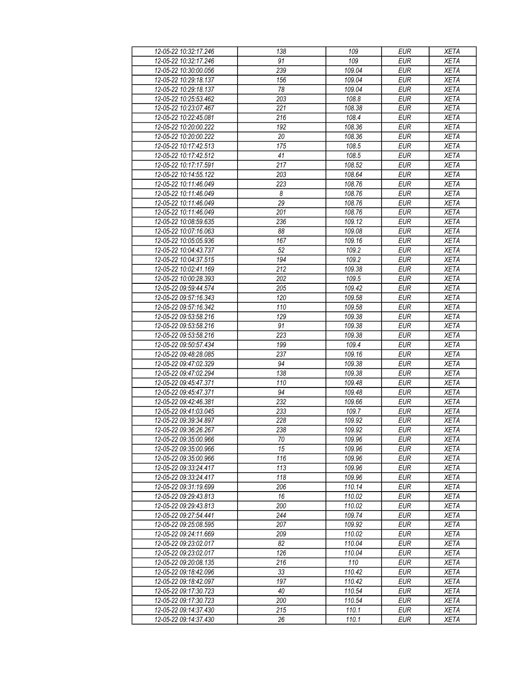| 12-05-22 10:32:17.246 | 138              | 109    | <b>EUR</b>       | <b>XETA</b> |
|-----------------------|------------------|--------|------------------|-------------|
| 12-05-22 10:32:17.246 | 91               | 109    | <b>EUR</b>       | <b>XETA</b> |
| 12-05-22 10:30:00.056 | 239              | 109.04 | <b>EUR</b>       | <b>XETA</b> |
| 12-05-22 10:29:18.137 | 156              | 109.04 | <b>EUR</b>       | <b>XETA</b> |
| 12-05-22 10:29:18.137 | 78               | 109.04 | <b>EUR</b>       | <b>XETA</b> |
| 12-05-22 10:25:53.462 | 203              | 108.8  | <b>EUR</b>       | <b>XETA</b> |
| 12-05-22 10:23:07.467 | 221              | 108.38 | <b>EUR</b>       | <b>XETA</b> |
| 12-05-22 10:22:45.081 | $\overline{216}$ | 108.4  | <b>EUR</b>       | <b>XETA</b> |
| 12-05-22 10:20:00.222 | 192              | 108.36 | <b>EUR</b>       | <b>XETA</b> |
| 12-05-22 10:20:00.222 | 20               | 108.36 | <b>EUR</b>       | <b>XETA</b> |
| 12-05-22 10:17:42.513 | 175              | 108.5  | <b>EUR</b>       | <b>XETA</b> |
| 12-05-22 10:17:42.512 | 41               | 108.5  | <b>EUR</b>       | <b>XETA</b> |
| 12-05-22 10:17:17.591 | 217              | 108.52 | <b>EUR</b>       | <b>XETA</b> |
| 12-05-22 10:14:55.122 | 203              | 108.64 | <b>EUR</b>       | <b>XETA</b> |
| 12-05-22 10:11:46.049 | 223              | 108.76 | EUR              | <b>XETA</b> |
| 12-05-22 10:11:46.049 | 8                | 108.76 | <b>EUR</b>       | <b>XETA</b> |
| 12-05-22 10:11:46.049 | $\overline{29}$  | 108.76 | EUR              | <b>XETA</b> |
|                       |                  |        |                  |             |
| 12-05-22 10:11:46.049 | 201              | 108.76 | <b>EUR</b>       | <b>XETA</b> |
| 12-05-22 10:08:59.635 | 236              | 109.12 | <b>EUR</b>       | <b>XETA</b> |
| 12-05-22 10:07:16.063 | 88               | 109.08 | <b>EUR</b>       | <b>XETA</b> |
| 12-05-22 10:05:05.936 | 167              | 109.16 | <b>EUR</b>       | <b>XETA</b> |
| 12-05-22 10:04:43.737 | 52               | 109.2  | <b>EUR</b>       | <b>XETA</b> |
| 12-05-22 10:04:37.515 | 194              | 109.2  | <b>EUR</b>       | <b>XETA</b> |
| 12-05-22 10:02:41.169 | 212              | 109.38 | <b>EUR</b>       | <b>XETA</b> |
| 12-05-22 10:00:28.393 | 202              | 109.5  | <b>EUR</b>       | <b>XETA</b> |
| 12-05-22 09:59:44.574 | 205              | 109.42 | EUR              | <b>XETA</b> |
| 12-05-22 09:57:16.343 | 120              | 109.58 | <b>EUR</b>       | <b>XETA</b> |
| 12-05-22 09:57:16.342 | 110              | 109.58 | <b>EUR</b>       | <b>XETA</b> |
| 12-05-22 09:53:58.216 | 129              | 109.38 | $E\overline{UR}$ | <b>XETA</b> |
| 12-05-22 09:53:58.216 | 91               | 109.38 | <b>EUR</b>       | <b>XETA</b> |
| 12-05-22 09:53:58.216 | 223              | 109.38 | <b>EUR</b>       | <b>XETA</b> |
| 12-05-22 09:50:57.434 | 199              | 109.4  | <b>EUR</b>       | <b>XETA</b> |
| 12-05-22 09:48:28.085 | 237              | 109.16 | <b>EUR</b>       | <b>XETA</b> |
| 12-05-22 09:47:02.329 | 94               | 109.38 | <b>EUR</b>       | <b>XETA</b> |
| 12-05-22 09:47:02.294 | 138              | 109.38 | <b>EUR</b>       | <b>XETA</b> |
| 12-05-22 09:45:47.371 | 110              | 109.48 | <b>EUR</b>       | <b>XETA</b> |
| 12-05-22 09:45:47.371 | 94               | 109.48 | <b>EUR</b>       | <b>XETA</b> |
| 12-05-22 09:42:46.381 | 232              | 109.66 | <b>EUR</b>       | <b>XETA</b> |
| 12-05-22 09:41:03.045 | 233              | 109.7  | <b>EUR</b>       | <b>XETA</b> |
| 12-05-22 09:39:34.897 | 228              | 109.92 | <b>EUR</b>       | <b>XETA</b> |
| 12-05-22 09:36:26.267 | 238              | 109.92 | <b>EUR</b>       | <b>XETA</b> |
| 12-05-22 09:35:00.966 | 70               | 109.96 | <b>EUR</b>       | <b>XETA</b> |
| 12-05-22 09:35:00.966 | 15               | 109.96 | <b>EUR</b>       | <b>XETA</b> |
| 12-05-22 09:35:00.966 | 116              | 109.96 | <b>EUR</b>       | <b>XETA</b> |
| 12-05-22 09:33:24.417 | 113              | 109.96 | <b>EUR</b>       | <b>XETA</b> |
| 12-05-22 09:33:24.417 | 118              | 109.96 | <b>EUR</b>       | <b>XETA</b> |
| 12-05-22 09:31:19.699 | 206              | 110.14 | <b>EUR</b>       | <b>XETA</b> |
| 12-05-22 09:29:43.813 | 16               | 110.02 | <b>EUR</b>       | <b>XETA</b> |
| 12-05-22 09:29:43.813 | 200              | 110.02 | <b>EUR</b>       | <b>XETA</b> |
| 12-05-22 09:27:54.441 | 244              | 109.74 | <b>EUR</b>       | <b>XETA</b> |
| 12-05-22 09:25:08.595 | 207              | 109.92 | <b>EUR</b>       | <b>XETA</b> |
| 12-05-22 09:24:11.669 | 209              | 110.02 | <b>EUR</b>       | <b>XETA</b> |
| 12-05-22 09:23:02.017 | 82               | 110.04 | <b>EUR</b>       | <b>XETA</b> |
| 12-05-22 09:23:02.017 | 126              | 110.04 | <b>EUR</b>       | <b>XETA</b> |
| 12-05-22 09:20:08.135 | 216              | 110    | <b>EUR</b>       | <b>XETA</b> |
| 12-05-22 09:18:42.096 | 33               | 110.42 | <b>EUR</b>       | <b>XETA</b> |
| 12-05-22 09:18:42.097 | 197              | 110.42 | <b>EUR</b>       | <b>XETA</b> |
| 12-05-22 09:17:30.723 | 40               | 110.54 | <b>EUR</b>       | <b>XETA</b> |
| 12-05-22 09:17:30.723 | 200              | 110.54 | <b>EUR</b>       | <b>XETA</b> |
| 12-05-22 09:14:37.430 | 215              | 110.1  | <b>EUR</b>       | <b>XETA</b> |
| 12-05-22 09:14:37.430 | 26               | 110.1  | <b>EUR</b>       | <b>XETA</b> |
|                       |                  |        |                  |             |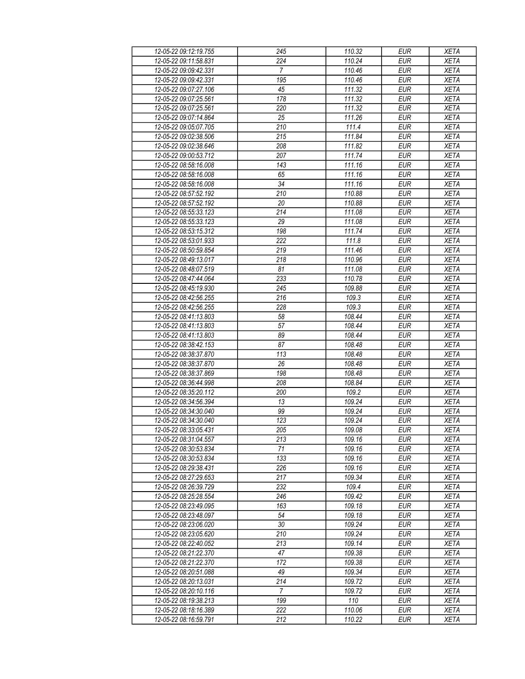| 12-05-22 09:12:19.755 | 245              | 110.32 | <b>EUR</b>       | <b>XETA</b> |
|-----------------------|------------------|--------|------------------|-------------|
| 12-05-22 09:11:58.831 | 224              | 110.24 | <b>EUR</b>       | <b>XETA</b> |
| 12-05-22 09:09:42.331 | $\overline{7}$   | 110.46 | <b>EUR</b>       | <b>XETA</b> |
| 12-05-22 09:09:42.331 | 195              | 110.46 | <b>EUR</b>       | <b>XETA</b> |
| 12-05-22 09:07:27.106 | 45               | 111.32 | <b>EUR</b>       | <b>XETA</b> |
| 12-05-22 09:07:25.561 | 178              | 111.32 | <b>EUR</b>       | <b>XETA</b> |
| 12-05-22 09:07:25.561 | 220              | 111.32 | <b>EUR</b>       | <b>XETA</b> |
| 12-05-22 09:07:14.864 | 25               | 111.26 | <b>EUR</b>       | <b>XETA</b> |
| 12-05-22 09:05:07.705 | 210              | 111.4  | <b>EUR</b>       | <b>XETA</b> |
| 12-05-22 09:02:38.506 | 215              | 111.84 | <b>EUR</b>       | <b>XETA</b> |
| 12-05-22 09:02:38.646 | 208              | 111.82 | <b>EUR</b>       | <b>XETA</b> |
| 12-05-22 09:00:53.712 | 207              | 111.74 | <b>EUR</b>       | <b>XETA</b> |
| 12-05-22 08:58:16.008 | 143              | 111.16 | <b>EUR</b>       | <b>XETA</b> |
| 12-05-22 08:58:16.008 | 65               | 111.16 | <b>EUR</b>       | <b>XETA</b> |
| 12-05-22 08:58:16.008 | 34               | 111.16 | EUR              | <b>XETA</b> |
| 12-05-22 08:57:52.192 | 210              | 110.88 | <b>EUR</b>       | <b>XETA</b> |
| 12-05-22 08:57:52.192 | 20               | 110.88 | EUR              | <b>XETA</b> |
| 12-05-22 08:55:33.123 | 214              | 111.08 | <b>EUR</b>       | <b>XETA</b> |
| 12-05-22 08:55:33.123 | 29               | 111.08 | <b>EUR</b>       | <b>XETA</b> |
|                       |                  |        |                  |             |
| 12-05-22 08:53:15.312 | 198              | 111.74 | <b>EUR</b>       | <b>XETA</b> |
| 12-05-22 08:53:01.933 | 222              | 111.8  | <b>EUR</b>       | <b>XETA</b> |
| 12-05-22 08:50:59.854 | 219              | 111.46 | <b>EUR</b>       | <b>XETA</b> |
| 12-05-22 08:49:13.017 | 218              | 110.96 | <b>EUR</b>       | <b>XETA</b> |
| 12-05-22 08:48:07.519 | 81               | 111.08 | <b>EUR</b>       | <b>XETA</b> |
| 12-05-22 08:47:44.064 | 233              | 110.78 | <b>EUR</b>       | <b>XETA</b> |
| 12-05-22 08:45:19.930 | 245              | 109.88 | EUR              | <b>XETA</b> |
| 12-05-22 08:42:56.255 | 216              | 109.3  | <b>EUR</b>       | <b>XETA</b> |
| 12-05-22 08:42:56.255 | 228              | 109.3  | <b>EUR</b>       | <b>XETA</b> |
| 12-05-22 08:41:13.803 | 58               | 108.44 | $E\overline{UR}$ | <b>XETA</b> |
| 12-05-22 08:41:13.803 | 57               | 108.44 | <b>EUR</b>       | <b>XETA</b> |
| 12-05-22 08:41:13.803 | 89               | 108.44 | <b>EUR</b>       | <b>XETA</b> |
| 12-05-22 08:38:42.153 | 87               | 108.48 | <b>EUR</b>       | <b>XETA</b> |
| 12-05-22 08:38:37.870 | 113              | 108.48 | <b>EUR</b>       | <b>XETA</b> |
| 12-05-22 08:38:37.870 | 26               | 108.48 | <b>EUR</b>       | <b>XETA</b> |
| 12-05-22 08:38:37.869 | 198              | 108.48 | <b>EUR</b>       | <b>XETA</b> |
| 12-05-22 08:36:44.998 | 208              | 108.84 | <b>EUR</b>       | <b>XETA</b> |
| 12-05-22 08:35:20.112 | 200              | 109.2  | <b>EUR</b>       | <b>XETA</b> |
| 12-05-22 08:34:56.394 | 13               | 109.24 | <b>EUR</b>       | <b>XETA</b> |
| 12-05-22 08:34:30.040 | 99               | 109.24 | <b>EUR</b>       | <b>XETA</b> |
| 12-05-22 08:34:30.040 | $\overline{123}$ | 109.24 | <b>EUR</b>       | <b>XETA</b> |
| 12-05-22 08:33:05.431 | 205              | 109.08 | <b>EUR</b>       | <b>XETA</b> |
| 12-05-22 08:31:04.557 | 213              | 109.16 | <b>EUR</b>       | <b>XETA</b> |
| 12-05-22 08:30:53.834 | 71               | 109.16 | <b>EUR</b>       | <b>XETA</b> |
| 12-05-22 08:30:53.834 | 133              | 109.16 | <b>EUR</b>       | <b>XETA</b> |
| 12-05-22 08:29:38.431 | 226              | 109.16 | <b>EUR</b>       | <b>XETA</b> |
| 12-05-22 08:27:29.653 | 217              | 109.34 | <b>EUR</b>       | <b>XETA</b> |
| 12-05-22 08:26:39.729 | 232              | 109.4  | <b>EUR</b>       | <b>XETA</b> |
| 12-05-22 08:25:28.554 | 246              | 109.42 | <b>EUR</b>       | <b>XETA</b> |
| 12-05-22 08:23:49.095 | 163              | 109.18 | <b>EUR</b>       | <b>XETA</b> |
| 12-05-22 08:23:48.097 | 54               | 109.18 | <b>EUR</b>       | <b>XETA</b> |
| 12-05-22 08:23:06.020 | 30               | 109.24 | <b>EUR</b>       | <b>XETA</b> |
| 12-05-22 08:23:05.620 | 210              | 109.24 | <b>EUR</b>       | <b>XETA</b> |
| 12-05-22 08:22:40.052 | 213              | 109.14 | <b>EUR</b>       | <b>XETA</b> |
| 12-05-22 08:21:22.370 | 47               | 109.38 | <b>EUR</b>       | <b>XETA</b> |
| 12-05-22 08:21:22.370 | 172              | 109.38 | <b>EUR</b>       | <b>XETA</b> |
| 12-05-22 08:20:51.088 | 49               | 109.34 | <b>EUR</b>       | <b>XETA</b> |
| 12-05-22 08:20:13.031 | 214              | 109.72 | <b>EUR</b>       | <b>XETA</b> |
| 12-05-22 08:20:10.116 | 7                | 109.72 | <b>EUR</b>       | <b>XETA</b> |
| 12-05-22 08:19:38.213 | 199              | 110    | <b>EUR</b>       | <b>XETA</b> |
| 12-05-22 08:18:16.389 | 222              | 110.06 | <b>EUR</b>       | <b>XETA</b> |
| 12-05-22 08:16:59.791 | 212              | 110.22 | <b>EUR</b>       | <b>XETA</b> |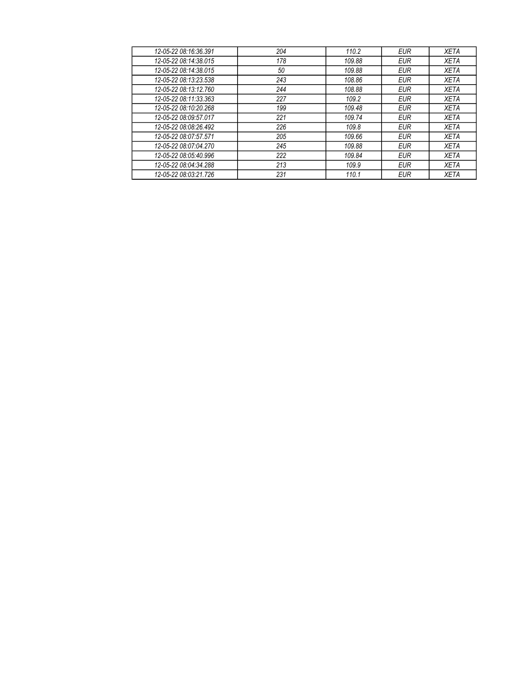| 12-05-22 08:16:36.391 | 204 | 110.2  | <b>EUR</b> | <b>XETA</b> |
|-----------------------|-----|--------|------------|-------------|
| 12-05-22 08:14:38.015 | 178 | 109.88 | <b>EUR</b> | <b>XETA</b> |
| 12-05-22 08:14:38.015 | 50  | 109.88 | <b>EUR</b> | <b>XETA</b> |
| 12-05-22 08:13:23.538 | 243 | 108.86 | <b>EUR</b> | <b>XETA</b> |
| 12-05-22 08:13:12.760 | 244 | 108.88 | <b>EUR</b> | <b>XETA</b> |
| 12-05-22 08:11:33.363 | 227 | 109.2  | <b>EUR</b> | <b>XETA</b> |
| 12-05-22 08:10:20.268 | 199 | 109.48 | <b>EUR</b> | <b>XETA</b> |
| 12-05-22 08:09:57.017 | 221 | 109.74 | <b>EUR</b> | <b>XETA</b> |
| 12-05-22 08:08:26.492 | 226 | 109.8  | <b>EUR</b> | <b>XETA</b> |
| 12-05-22 08:07:57.571 | 205 | 109.66 | <b>EUR</b> | <b>XETA</b> |
| 12-05-22 08:07:04.270 | 245 | 109.88 | <b>EUR</b> | <b>XETA</b> |
| 12-05-22 08:05:40.996 | 222 | 109.84 | <b>EUR</b> | <b>XETA</b> |
| 12-05-22 08:04:34.288 | 213 | 109.9  | <b>EUR</b> | <b>XETA</b> |
| 12-05-22 08:03:21.726 | 231 | 110.1  | <b>EUR</b> | <b>XETA</b> |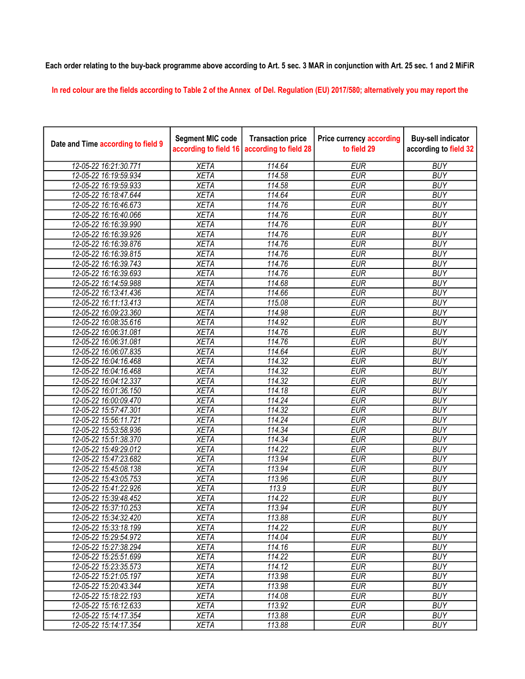## Each order relating to the buy-back programme above according to Art. 5 sec. 3 MAR in conjunction with Art. 25 sec. 1 and 2 MiFiR

In red colour are the fields according to Table 2 of the Annex of Del. Regulation (EU) 2017/580; alternatively you may report the

| Date and Time according to field 9 | <b>Segment MIC code</b><br>according to field 16 | <b>Transaction price</b><br>according to field 28 | <b>Price currency according</b><br>to field 29 | <b>Buy-sell indicator</b><br>according to field 32 |
|------------------------------------|--------------------------------------------------|---------------------------------------------------|------------------------------------------------|----------------------------------------------------|
| 12-05-22 16:21:30.771              | <b>XETA</b>                                      | 114.64                                            | <b>EUR</b>                                     | <b>BUY</b>                                         |
| 12-05-22 16:19:59.934              | <b>XETA</b>                                      | 114.58                                            | <b>EUR</b>                                     | <b>BUY</b>                                         |
| 12-05-22 16:19:59.933              | <b>XETA</b>                                      | 114.58                                            | <b>EUR</b>                                     | <b>BUY</b>                                         |
| 12-05-22 16:18:47.644              | <b>XETA</b>                                      | 114.64                                            | <b>EUR</b>                                     | <b>BUY</b>                                         |
| 12-05-22 16:16:46.673              | <b>XETA</b>                                      | 114.76                                            | <b>EUR</b>                                     | <b>BUY</b>                                         |
| 12-05-22 16:16:40.066              | <b>XETA</b>                                      | 114.76                                            | <b>EUR</b>                                     | <b>BUY</b>                                         |
| 12-05-22 16:16:39.990              | <b>XETA</b>                                      | 114.76                                            | <b>EUR</b>                                     | <b>BUY</b>                                         |
| 12-05-22 16:16:39.926              | <b>XETA</b>                                      | 114.76                                            | <b>EUR</b>                                     | <b>BUY</b>                                         |
| 12-05-22 16:16:39.876              | <b>XETA</b>                                      | 114.76                                            | <b>EUR</b>                                     | <b>BUY</b>                                         |
| 12-05-22 16:16:39.815              | <b>XETA</b>                                      | 114.76                                            | <b>EUR</b>                                     | <b>BUY</b>                                         |
| 12-05-22 16:16:39.743              | <b>XETA</b>                                      | 114.76                                            | <b>EUR</b>                                     | <b>BUY</b>                                         |
| 12-05-22 16:16:39.693              | <b>XETA</b>                                      | 114.76                                            | <b>EUR</b>                                     | <b>BUY</b>                                         |
| 12-05-22 16:14:59.988              | <b>XETA</b>                                      | 114.68                                            | <b>EUR</b>                                     | <b>BUY</b>                                         |
| 12-05-22 16:13:41.436              | <b>XETA</b>                                      | 114.66                                            | <b>EUR</b>                                     | <b>BUY</b>                                         |
| 12-05-22 16:11:13.413              | <b>XETA</b>                                      | 115.08                                            | <b>EUR</b>                                     | <b>BUY</b>                                         |
| 12-05-22 16:09:23.360              | <b>XETA</b>                                      | 114.98                                            | <b>EUR</b>                                     | <b>BUY</b>                                         |
| 12-05-22 16:08:35.616              | <b>XETA</b>                                      | 114.92                                            | <b>EUR</b>                                     | <b>BUY</b>                                         |
| 12-05-22 16:06:31.081              | <b>XETA</b>                                      | 114.76                                            | <b>EUR</b>                                     | <b>BUY</b>                                         |
| 12-05-22 16:06:31.081              | <b>XETA</b>                                      | 114.76                                            | <b>EUR</b>                                     | <b>BUY</b>                                         |
| 12-05-22 16:06:07.835              | <b>XETA</b>                                      | 114.64                                            | <b>EUR</b>                                     | <b>BUY</b>                                         |
| 12-05-22 16:04:16.468              | <b>XETA</b>                                      | 114.32                                            | <b>EUR</b>                                     | <b>BUY</b>                                         |
| 12-05-22 16:04:16.468              | <b>XETA</b>                                      | 114.32                                            | <b>EUR</b>                                     | <b>BUY</b>                                         |
| 12-05-22 16:04:12.337              | <b>XETA</b>                                      | 114.32                                            | <b>EUR</b>                                     | <b>BUY</b>                                         |
| 12-05-22 16:01:36.150              | <b>XETA</b>                                      | 114.18                                            | <b>EUR</b>                                     | <b>BUY</b>                                         |
| 12-05-22 16:00:09.470              | <b>XETA</b>                                      | 114.24                                            | <b>EUR</b>                                     | <b>BUY</b>                                         |
| 12-05-22 15:57:47.301              | <b>XETA</b>                                      | 114.32                                            | <b>EUR</b>                                     | <b>BUY</b>                                         |
| 12-05-22 15:56:11.721              | <b>XETA</b>                                      | 114.24                                            | <b>EUR</b>                                     | <b>BUY</b>                                         |
| 12-05-22 15:53:58.936              | <b>XETA</b>                                      | 114.34                                            | <b>EUR</b>                                     | <b>BUY</b>                                         |
| 12-05-22 15:51:38.370              | <b>XETA</b>                                      | 114.34                                            | <b>EUR</b>                                     | <b>BUY</b>                                         |
| 12-05-22 15:49:29.012              | <b>XETA</b>                                      | 114.22                                            | <b>EUR</b>                                     | <b>BUY</b>                                         |
| 12-05-22 15:47:23.682              | <b>XETA</b>                                      | 113.94                                            | <b>EUR</b>                                     | <b>BUY</b>                                         |
| 12-05-22 15:45:08.138              | <b>XETA</b>                                      | 113.94                                            | <b>EUR</b>                                     | <b>BUY</b>                                         |
| 12-05-22 15:43:05.753              | <b>XETA</b>                                      | 113.96                                            | <b>EUR</b>                                     | <b>BUY</b>                                         |
| 12-05-22 15:41:22.926              | <b>XETA</b>                                      | 113.9                                             | <b>EUR</b>                                     | <b>BUY</b>                                         |
| 12-05-22 15:39:48.452              | <b>XETA</b>                                      | 114.22                                            | <b>EUR</b>                                     | <b>BUY</b>                                         |
| 12-05-22 15:37:10.253              | <b>XETA</b>                                      | 113.94                                            | <b>EUR</b>                                     | <b>BUY</b>                                         |
| 12-05-22 15:34:32.420              | <b>XETA</b>                                      | 113.88                                            | <b>EUR</b>                                     | <b>BUY</b>                                         |
| 12-05-22 15:33:18.199              | <b>XETA</b>                                      | 114.22                                            | <b>EUR</b>                                     | <b>BUY</b>                                         |
| 12-05-22 15:29:54.972              | <b>XETA</b>                                      | 114.04                                            | <b>EUR</b>                                     | <b>BUY</b>                                         |
| 12-05-22 15:27:38.294              | <b>XETA</b>                                      | 114.16                                            | <b>EUR</b>                                     | <b>BUY</b>                                         |
| 12-05-22 15:25:51.699              | <b>XETA</b>                                      | 114.22                                            | <b>EUR</b>                                     | <b>BUY</b>                                         |
| 12-05-22 15:23:35.573              | <b>XETA</b>                                      | 114.12                                            | <b>EUR</b>                                     | <b>BUY</b>                                         |
| 12-05-22 15:21:05.197              | <b>XETA</b>                                      | 113.98                                            | <b>EUR</b>                                     | <b>BUY</b>                                         |
| 12-05-22 15:20:43.344              | <b>XETA</b>                                      | 113.98                                            | <b>EUR</b>                                     | <b>BUY</b>                                         |
| 12-05-22 15:18:22.193              | <b>XETA</b>                                      | 114.08                                            | <b>EUR</b>                                     | <b>BUY</b>                                         |
| 12-05-22 15:16:12.633              | <b>XETA</b>                                      | 113.92                                            | <b>EUR</b>                                     | <b>BUY</b>                                         |
| 12-05-22 15:14:17.354              | <b>XETA</b>                                      | 113.88                                            | <b>EUR</b>                                     | <b>BUY</b>                                         |
| 12-05-22 15:14:17.354              | <b>XETA</b>                                      | 113.88                                            | <b>EUR</b>                                     | <b>BUY</b>                                         |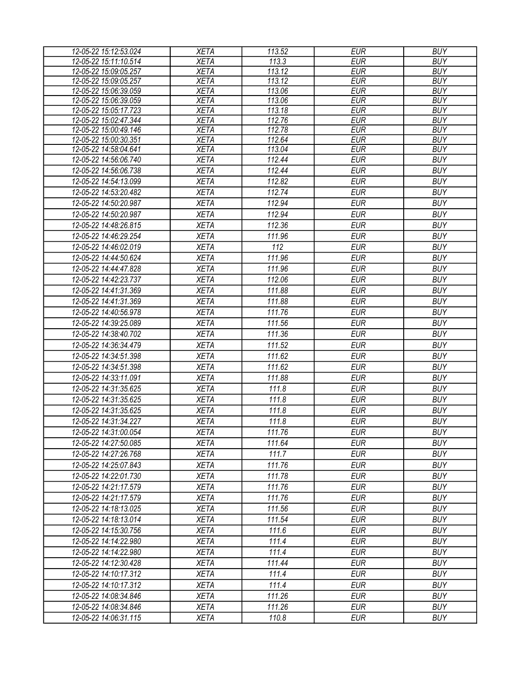| 12-05-22 15:12:53.024 | <b>XETA</b> | 113.52 | <b>EUR</b> | <b>BUY</b> |
|-----------------------|-------------|--------|------------|------------|
| 12-05-22 15:11:10.514 | <b>XETA</b> | 113.3  | <b>EUR</b> | <b>BUY</b> |
| 12-05-22 15:09:05.257 | <b>XETA</b> | 113.12 | <b>EUR</b> | <b>BUY</b> |
| 12-05-22 15:09:05.257 | <b>XETA</b> | 113.12 | <b>EUR</b> | <b>BUY</b> |
| 12-05-22 15:06:39.059 | <b>XETA</b> | 113.06 | <b>EUR</b> | <b>BUY</b> |
| 12-05-22 15:06:39.059 | <b>XETA</b> | 113.06 | <b>EUR</b> | <b>BUY</b> |
| 12-05-22 15:05:17.723 | <b>XETA</b> | 113.18 | <b>EUR</b> | <b>BUY</b> |
| 12-05-22 15:02:47.344 | <b>XETA</b> | 112.76 | <b>EUR</b> | <b>BUY</b> |
| 12-05-22 15:00:49.146 | <b>XETA</b> | 112.78 | <b>EUR</b> | <b>BUY</b> |
| 12-05-22 15:00:30.351 | <b>XETA</b> | 112.64 | <b>EUR</b> | <b>BUY</b> |
| 12-05-22 14:58:04.641 | <b>XETA</b> | 113.04 | <b>EUR</b> | <b>BUY</b> |
| 12-05-22 14:56:06.740 | <b>XETA</b> | 112.44 | <b>EUR</b> | <b>BUY</b> |
| 12-05-22 14:56:06.738 | <b>XETA</b> | 112.44 | <b>EUR</b> | <b>BUY</b> |
| 12-05-22 14:54:13.099 | <b>XETA</b> | 112.82 | <b>EUR</b> | <b>BUY</b> |
| 12-05-22 14:53:20.482 | <b>XETA</b> | 112.74 | <b>EUR</b> | <b>BUY</b> |
| 12-05-22 14:50:20.987 | <b>XETA</b> | 112.94 | <b>EUR</b> | <b>BUY</b> |
| 12-05-22 14:50:20.987 | <b>XETA</b> | 112.94 | <b>EUR</b> | <b>BUY</b> |
| 12-05-22 14:48:26.815 | <b>XETA</b> | 112.36 | <b>EUR</b> | <b>BUY</b> |
| 12-05-22 14:46:29.254 | <b>XETA</b> | 111.96 | <b>EUR</b> | <b>BUY</b> |
| 12-05-22 14:46:02.019 | <b>XETA</b> | 112    | <b>EUR</b> | <b>BUY</b> |
| 12-05-22 14:44:50.624 | <b>XETA</b> | 111.96 | <b>EUR</b> | <b>BUY</b> |
| 12-05-22 14:44:47.828 | <b>XETA</b> | 111.96 | <b>EUR</b> | <b>BUY</b> |
| 12-05-22 14:42:23.737 | <b>XETA</b> | 112.06 | <b>EUR</b> | <b>BUY</b> |
| 12-05-22 14:41:31.369 | <b>XETA</b> | 111.88 | <b>EUR</b> | <b>BUY</b> |
| 12-05-22 14:41:31.369 | <b>XETA</b> | 111.88 | <b>EUR</b> | <b>BUY</b> |
| 12-05-22 14:40:56.978 | <b>XETA</b> | 111.76 | <b>EUR</b> | <b>BUY</b> |
| 12-05-22 14:39:25.089 | <b>XETA</b> | 111.56 | <b>EUR</b> | <b>BUY</b> |
| 12-05-22 14:38:40.702 | <b>XETA</b> | 111.36 | <b>EUR</b> | <b>BUY</b> |
| 12-05-22 14:36:34.479 | <b>XETA</b> | 111.52 | <b>EUR</b> | <b>BUY</b> |
| 12-05-22 14:34:51.398 |             |        | <b>EUR</b> | <b>BUY</b> |
|                       | <b>XETA</b> | 111.62 |            |            |
| 12-05-22 14:34:51.398 | <b>XETA</b> | 111.62 | <b>EUR</b> | <b>BUY</b> |
| 12-05-22 14:33:11.091 | <b>XETA</b> | 111.88 | <b>EUR</b> | <b>BUY</b> |
| 12-05-22 14:31:35.625 | <b>XETA</b> | 111.8  | <b>EUR</b> | <b>BUY</b> |
| 12-05-22 14:31:35.625 | <b>XETA</b> | 111.8  | <b>EUR</b> | <b>BUY</b> |
| 12-05-22 14:31:35.625 | <b>XETA</b> | 111.8  | <b>EUR</b> | <b>BUY</b> |
| 12-05-22 14:31:34.227 | <b>XETA</b> | 111.8  | <b>EUR</b> | <b>BUY</b> |
| 12-05-22 14:31:00.054 | <b>XETA</b> | 111.76 | <b>EUR</b> | <b>BUY</b> |
| 12-05-22 14:27:50.085 | <b>XETA</b> | 111.64 | <b>EUR</b> | <b>BUY</b> |
| 12-05-22 14:27:26.768 | <b>XETA</b> | 111.7  | <b>EUR</b> | <b>BUY</b> |
| 12-05-22 14:25:07.843 | <b>XETA</b> | 111.76 | <b>EUR</b> | <b>BUY</b> |
| 12-05-22 14:22:01.730 | <b>XETA</b> | 111.78 | <b>EUR</b> | <b>BUY</b> |
| 12-05-22 14:21:17.579 | <b>XETA</b> | 111.76 | <b>EUR</b> | <b>BUY</b> |
| 12-05-22 14:21:17.579 | <b>XETA</b> | 111.76 | <b>EUR</b> | <b>BUY</b> |
| 12-05-22 14:18:13.025 | <b>XETA</b> | 111.56 | <b>EUR</b> | <b>BUY</b> |
| 12-05-22 14:18:13.014 | <b>XETA</b> | 111.54 | <b>EUR</b> | <b>BUY</b> |
| 12-05-22 14:15:30.756 | <b>XETA</b> | 111.6  | <b>EUR</b> | <b>BUY</b> |
| 12-05-22 14:14:22.980 | <b>XETA</b> | 111.4  | <b>EUR</b> | <b>BUY</b> |
| 12-05-22 14:14:22.980 | <b>XETA</b> | 111.4  | <b>EUR</b> | <b>BUY</b> |
| 12-05-22 14:12:30.428 | <b>XETA</b> | 111.44 | <b>EUR</b> | <b>BUY</b> |
| 12-05-22 14:10:17.312 | <b>XETA</b> | 111.4  | <b>EUR</b> | <b>BUY</b> |
| 12-05-22 14:10:17.312 | <b>XETA</b> | 111.4  | <b>EUR</b> | <b>BUY</b> |
| 12-05-22 14:08:34.846 | <b>XETA</b> | 111.26 | <b>EUR</b> | <b>BUY</b> |
|                       |             |        |            |            |
| 12-05-22 14:08:34.846 | <b>XETA</b> | 111.26 | <b>EUR</b> | <b>BUY</b> |
| 12-05-22 14:06:31.115 | <b>XETA</b> | 110.8  | <b>EUR</b> | <b>BUY</b> |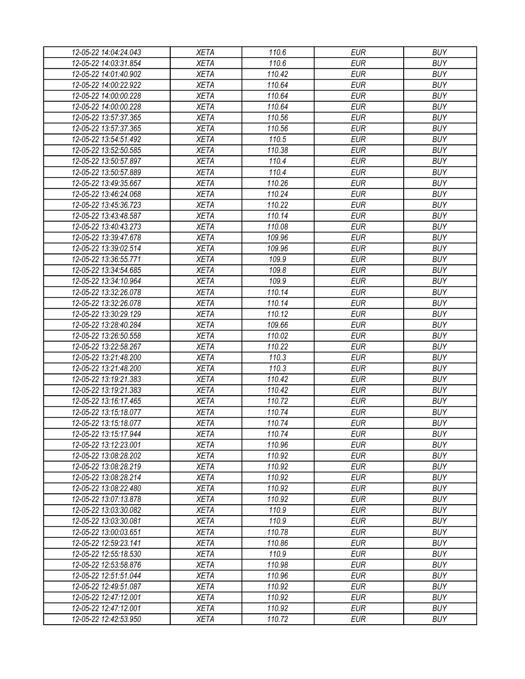| 12-05-22 14:04:24.043 | <b>XETA</b> | 110.6  | <b>EUR</b> | <b>BUY</b> |
|-----------------------|-------------|--------|------------|------------|
| 12-05-22 14:03:31.854 | <b>XETA</b> | 110.6  | <b>EUR</b> | <b>BUY</b> |
| 12-05-22 14:01:40.902 | <b>XETA</b> | 110.42 | <b>EUR</b> | <b>BUY</b> |
| 12-05-22 14:00:22.922 | <b>XETA</b> | 110.64 | <b>EUR</b> | <b>BUY</b> |
| 12-05-22 14:00:00.228 | <b>XETA</b> | 110.64 | <b>EUR</b> | <b>BUY</b> |
| 12-05-22 14:00:00.228 | <b>XETA</b> | 110.64 | <b>EUR</b> | <b>BUY</b> |
| 12-05-22 13:57:37.365 | <b>XETA</b> | 110.56 | <b>EUR</b> | <b>BUY</b> |
| 12-05-22 13:57:37.365 | <b>XETA</b> | 110.56 | <b>EUR</b> | <b>BUY</b> |
| 12-05-22 13:54:51.492 | <b>XETA</b> | 110.5  | <b>EUR</b> | <b>BUY</b> |
| 12-05-22 13:52:50.585 | <b>XETA</b> | 110.38 | <b>EUR</b> | <b>BUY</b> |
| 12-05-22 13:50:57.897 | <b>XETA</b> | 110.4  | <b>EUR</b> | <b>BUY</b> |
| 12-05-22 13:50:57.889 | <b>XETA</b> | 110.4  | <b>EUR</b> | <b>BUY</b> |
| 12-05-22 13:49:35.667 | <b>XETA</b> | 110.26 | <b>EUR</b> | <b>BUY</b> |
| 12-05-22 13:46:24.068 | <b>XETA</b> | 110.24 | <b>EUR</b> | <b>BUY</b> |
| 12-05-22 13:45:36.723 | <b>XETA</b> | 110.22 | <b>EUR</b> | <b>BUY</b> |
| 12-05-22 13:43:48.587 | <b>XETA</b> | 110.14 | <b>EUR</b> | <b>BUY</b> |
| 12-05-22 13:40:43.273 | <b>XETA</b> | 110.08 | <b>EUR</b> | <b>BUY</b> |
| 12-05-22 13:39:47.678 | <b>XETA</b> | 109.96 | <b>EUR</b> | <b>BUY</b> |
| 12-05-22 13:39:02.514 | <b>XETA</b> | 109.96 | <b>EUR</b> | <b>BUY</b> |
| 12-05-22 13:36:55.771 | <b>XETA</b> | 109.9  | <b>EUR</b> | <b>BUY</b> |
| 12-05-22 13:34:54.685 | <b>XETA</b> | 109.8  | <b>EUR</b> | <b>BUY</b> |
| 12-05-22 13:34:10.964 | <b>XETA</b> | 109.9  | <b>EUR</b> | <b>BUY</b> |
| 12-05-22 13:32:26.078 | <b>XETA</b> | 110.14 | <b>EUR</b> | <b>BUY</b> |
| 12-05-22 13:32:26.078 | <b>XETA</b> | 110.14 | <b>EUR</b> | <b>BUY</b> |
| 12-05-22 13:30:29.129 | <b>XETA</b> | 110.12 | <b>EUR</b> | <b>BUY</b> |
| 12-05-22 13:28:40.284 | <b>XETA</b> | 109.66 | <b>EUR</b> | <b>BUY</b> |
| 12-05-22 13:26:50.558 | <b>XETA</b> | 110.02 | <b>EUR</b> | <b>BUY</b> |
| 12-05-22 13:22:58.267 | <b>XETA</b> | 110.22 | <b>EUR</b> | <b>BUY</b> |
| 12-05-22 13:21:48.200 | <b>XETA</b> | 110.3  | <b>EUR</b> | <b>BUY</b> |
| 12-05-22 13:21:48.200 | <b>XETA</b> | 110.3  | <b>EUR</b> | <b>BUY</b> |
| 12-05-22 13:19:21.383 | <b>XETA</b> | 110.42 | <b>EUR</b> | <b>BUY</b> |
| 12-05-22 13:19:21.383 | <b>XETA</b> | 110.42 | <b>EUR</b> | <b>BUY</b> |
| 12-05-22 13:16:17.465 | <b>XETA</b> | 110.72 | <b>EUR</b> | <b>BUY</b> |
| 12-05-22 13:15:18.077 | <b>XETA</b> | 110.74 | <b>EUR</b> | <b>BUY</b> |
| 12-05-22 13:15:18.077 | <b>XETA</b> | 110.74 | <b>EUR</b> | <b>BUY</b> |
| 12-05-22 13:15:17.944 | <b>XETA</b> | 110.74 | <b>EUR</b> | <b>BUY</b> |
| 12-05-22 13:12:23.001 | <b>XETA</b> | 110.96 | <b>EUR</b> | <b>BUY</b> |
| 12-05-22 13:08:28.202 | <b>XETA</b> | 110.92 | <b>EUR</b> | <b>BUY</b> |
| 12-05-22 13:08:28.219 | <b>XETA</b> | 110.92 | <b>EUR</b> | <b>BUY</b> |
| 12-05-22 13:08:28.214 | <b>XETA</b> | 110.92 | <b>EUR</b> | <b>BUY</b> |
| 12-05-22 13:08:22.480 | <b>XETA</b> | 110.92 | <b>EUR</b> | <b>BUY</b> |
| 12-05-22 13:07:13.878 | <b>XETA</b> | 110.92 | <b>EUR</b> | <b>BUY</b> |
| 12-05-22 13:03:30.082 | <b>XETA</b> | 110.9  | <b>EUR</b> | <b>BUY</b> |
| 12-05-22 13:03:30.081 | <b>XETA</b> | 110.9  | <b>EUR</b> | <b>BUY</b> |
| 12-05-22 13:00:03.651 | <b>XETA</b> | 110.78 | <b>EUR</b> | <b>BUY</b> |
| 12-05-22 12:59:23.141 | <b>XETA</b> | 110.86 | <b>EUR</b> | <b>BUY</b> |
| 12-05-22 12:55:18.530 | <b>XETA</b> | 110.9  | <b>EUR</b> | <b>BUY</b> |
| 12-05-22 12:53:58.876 | <b>XETA</b> | 110.98 | <b>EUR</b> | <b>BUY</b> |
| 12-05-22 12:51:51.044 | <b>XETA</b> | 110.96 | <b>EUR</b> | <b>BUY</b> |
| 12-05-22 12:49:51.087 | <b>XETA</b> | 110.92 | <b>EUR</b> | <b>BUY</b> |
| 12-05-22 12:47:12.001 | <b>XETA</b> | 110.92 | <b>EUR</b> | <b>BUY</b> |
| 12-05-22 12:47:12.001 | <b>XETA</b> | 110.92 | <b>EUR</b> | <b>BUY</b> |
| 12-05-22 12:42:53.950 | <b>XETA</b> | 110.72 | <b>EUR</b> | <b>BUY</b> |
|                       |             |        |            |            |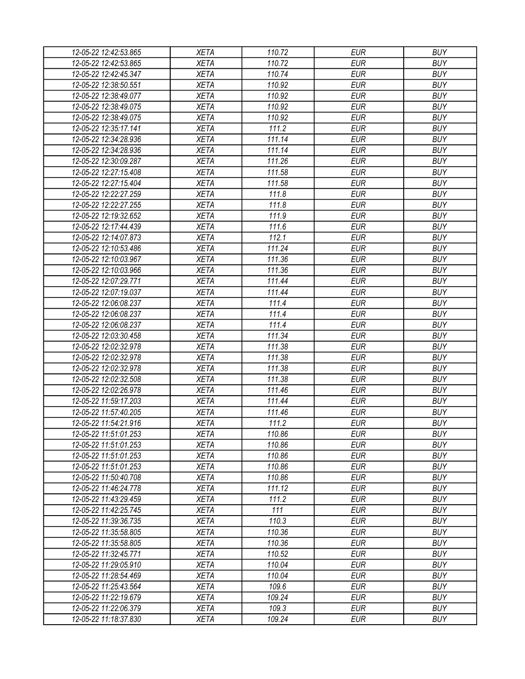| 12-05-22 12:42:53.865 | <b>XETA</b> | 110.72           | <b>EUR</b>               | <b>BUY</b>               |
|-----------------------|-------------|------------------|--------------------------|--------------------------|
| 12-05-22 12:42:53.865 | <b>XETA</b> | 110.72           | <b>EUR</b>               | <b>BUY</b>               |
| 12-05-22 12:42:45.347 | <b>XETA</b> | 110.74           | <b>EUR</b>               | <b>BUY</b>               |
| 12-05-22 12:38:50.551 | <b>XETA</b> | 110.92           | <b>EUR</b>               | <b>BUY</b>               |
| 12-05-22 12:38:49.077 | <b>XETA</b> | 110.92           | <b>EUR</b>               | <b>BUY</b>               |
| 12-05-22 12:38:49.075 | <b>XETA</b> | 110.92           | <b>EUR</b>               | <b>BUY</b>               |
| 12-05-22 12:38:49.075 | <b>XETA</b> | 110.92           | <b>EUR</b>               | <b>BUY</b>               |
| 12-05-22 12:35:17.141 | <b>XETA</b> | 111.2            | <b>EUR</b>               | <b>BUY</b>               |
| 12-05-22 12:34:28.936 | <b>XETA</b> | 111.14           | <b>EUR</b>               | <b>BUY</b>               |
| 12-05-22 12:34:28.936 | <b>XETA</b> | 111.14           | <b>EUR</b>               | <b>BUY</b>               |
| 12-05-22 12:30:09.287 | <b>XETA</b> | 111.26           | <b>EUR</b>               | <b>BUY</b>               |
| 12-05-22 12:27:15.408 | <b>XETA</b> | 111.58           | <b>EUR</b>               | <b>BUY</b>               |
| 12-05-22 12:27:15.404 | <b>XETA</b> | 111.58           | <b>EUR</b>               | <b>BUY</b>               |
| 12-05-22 12:22:27.259 | <b>XETA</b> | 111.8            | <b>EUR</b>               | <b>BUY</b>               |
| 12-05-22 12:22:27.255 | <b>XETA</b> | 111.8            | <b>EUR</b>               | <b>BUY</b>               |
| 12-05-22 12:19:32.652 | <b>XETA</b> | 111.9            | <b>EUR</b>               | <b>BUY</b>               |
| 12-05-22 12:17:44.439 | <b>XETA</b> | 111.6            | <b>EUR</b>               | <b>BUY</b>               |
| 12-05-22 12:14:07.873 | <b>XETA</b> | 112.1            | <b>EUR</b>               | <b>BUY</b>               |
| 12-05-22 12:10:53.486 | <b>XETA</b> | 111.24           | <b>EUR</b>               | <b>BUY</b>               |
| 12-05-22 12:10:03.967 | <b>XETA</b> | 111.36           | <b>EUR</b>               | <b>BUY</b>               |
| 12-05-22 12:10:03.966 | <b>XETA</b> | 111.36           | <b>EUR</b>               | <b>BUY</b>               |
| 12-05-22 12:07:29.771 | <b>XETA</b> | 111.44           | <b>EUR</b>               | <b>BUY</b>               |
| 12-05-22 12:07:19.037 | <b>XETA</b> | 111.44           | <b>EUR</b>               | <b>BUY</b>               |
| 12-05-22 12:06:08.237 | <b>XETA</b> | 111.4            | <b>EUR</b>               | <b>BUY</b>               |
| 12-05-22 12:06:08.237 | <b>XETA</b> | 111.4            | <b>EUR</b>               | <b>BUY</b>               |
| 12-05-22 12:06:08.237 | <b>XETA</b> | 111.4            | <b>EUR</b>               | <b>BUY</b>               |
| 12-05-22 12:03:30.458 | <b>XETA</b> | 111.34           | <b>EUR</b>               | <b>BUY</b>               |
| 12-05-22 12:02:32.978 | <b>XETA</b> | 111.38           | <b>EUR</b>               | <b>BUY</b>               |
| 12-05-22 12:02:32.978 | <b>XETA</b> | 111.38           | <b>EUR</b>               | <b>BUY</b>               |
| 12-05-22 12:02:32.978 | <b>XETA</b> | 111.38           | <b>EUR</b>               | <b>BUY</b>               |
| 12-05-22 12:02:32.508 | <b>XETA</b> | 111.38           | <b>EUR</b>               | <b>BUY</b>               |
| 12-05-22 12:02:26.978 | <b>XETA</b> | 111.46           | <b>EUR</b>               | <b>BUY</b>               |
| 12-05-22 11:59:17.203 | <b>XETA</b> | 111.44           | <b>EUR</b>               | <b>BUY</b>               |
| 12-05-22 11:57:40.205 | <b>XETA</b> | 111.46           | <b>EUR</b>               | <b>BUY</b>               |
| 12-05-22 11:54:21.916 |             | 111.2            | <b>EUR</b>               | <b>BUY</b>               |
|                       | <b>XETA</b> |                  |                          |                          |
| 12-05-22 11:51:01.253 | <b>XETA</b> | 110.86<br>110.86 | <b>EUR</b><br><b>EUR</b> | <b>BUY</b><br><b>BUY</b> |
| 12-05-22 11:51:01.253 | <b>XETA</b> | 110.86           | <b>EUR</b>               | <b>BUY</b>               |
| 12-05-22 11:51:01.253 | <b>XETA</b> |                  |                          |                          |
| 12-05-22 11:51:01.253 | <b>XETA</b> | 110.86           | <b>EUR</b>               | <b>BUY</b>               |
| 12-05-22 11:50:40.708 | <b>XETA</b> | 110.86           | <b>EUR</b>               | <b>BUY</b>               |
| 12-05-22 11:46:24.778 | <b>XETA</b> | 111.12           | <b>EUR</b>               | <b>BUY</b>               |
| 12-05-22 11:43:29.459 | <b>XETA</b> | 111.2            | <b>EUR</b>               | <b>BUY</b>               |
| 12-05-22 11:42:25.745 | <b>XETA</b> | 111              | <b>EUR</b>               | <b>BUY</b>               |
| 12-05-22 11:39:36.735 | <b>XETA</b> | 110.3            | <b>EUR</b>               | <b>BUY</b>               |
| 12-05-22 11:35:58.805 | <b>XETA</b> | 110.36           | <b>EUR</b>               | <b>BUY</b>               |
| 12-05-22 11:35:58.805 | <b>XETA</b> | 110.36           | <b>EUR</b>               | <b>BUY</b>               |
| 12-05-22 11:32:45.771 | <b>XETA</b> | 110.52           | <b>EUR</b>               | <b>BUY</b>               |
| 12-05-22 11:29:05.910 | <b>XETA</b> | 110.04           | <b>EUR</b>               | <b>BUY</b>               |
| 12-05-22 11:28:54.469 | <b>XETA</b> | 110.04           | <b>EUR</b>               | <b>BUY</b>               |
| 12-05-22 11:25:43.564 | <b>XETA</b> | 109.6            | <b>EUR</b>               | <b>BUY</b>               |
| 12-05-22 11:22:19.679 | <b>XETA</b> | 109.24           | <b>EUR</b>               | <b>BUY</b>               |
| 12-05-22 11:22:06.379 | <b>XETA</b> | 109.3            | <b>EUR</b>               | <b>BUY</b>               |
| 12-05-22 11:18:37.830 | <b>XETA</b> | 109.24           | <b>EUR</b>               | <b>BUY</b>               |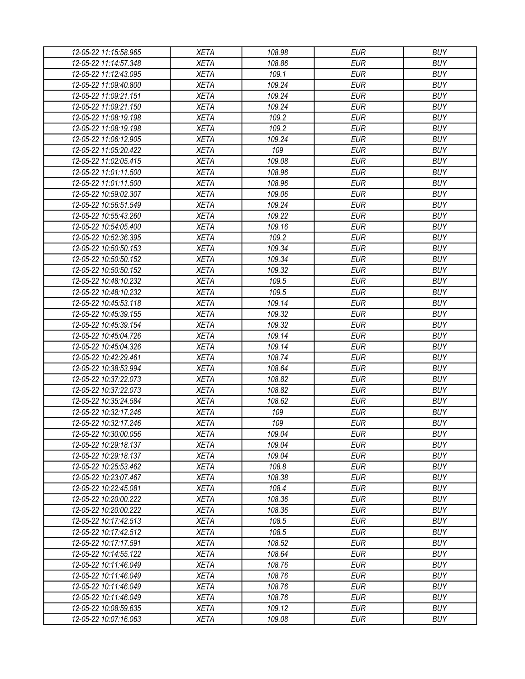| 12-05-22 11:15:58.965 |             |        |            |            |
|-----------------------|-------------|--------|------------|------------|
|                       | <b>XETA</b> | 108.98 | <b>EUR</b> | <b>BUY</b> |
| 12-05-22 11:14:57.348 | <b>XETA</b> | 108.86 | <b>EUR</b> | <b>BUY</b> |
| 12-05-22 11:12:43.095 | <b>XETA</b> | 109.1  | <b>EUR</b> | <b>BUY</b> |
| 12-05-22 11:09:40.800 | <b>XETA</b> | 109.24 | <b>EUR</b> | <b>BUY</b> |
| 12-05-22 11:09:21.151 | <b>XETA</b> | 109.24 | <b>EUR</b> | <b>BUY</b> |
| 12-05-22 11:09:21.150 | <b>XETA</b> | 109.24 | <b>EUR</b> | <b>BUY</b> |
| 12-05-22 11:08:19.198 | <b>XETA</b> | 109.2  | <b>EUR</b> | <b>BUY</b> |
| 12-05-22 11:08:19.198 | <b>XETA</b> | 109.2  | <b>EUR</b> | <b>BUY</b> |
| 12-05-22 11:06:12.905 | <b>XETA</b> | 109.24 | <b>EUR</b> | <b>BUY</b> |
| 12-05-22 11:05:20.422 | <b>XETA</b> | 109    | <b>EUR</b> | <b>BUY</b> |
| 12-05-22 11:02:05.415 | <b>XETA</b> | 109.08 | <b>EUR</b> | <b>BUY</b> |
| 12-05-22 11:01:11.500 | <b>XETA</b> | 108.96 | <b>EUR</b> | <b>BUY</b> |
| 12-05-22 11:01:11.500 | <b>XETA</b> | 108.96 | <b>EUR</b> | <b>BUY</b> |
| 12-05-22 10:59:02.307 | <b>XETA</b> | 109.06 | <b>EUR</b> | <b>BUY</b> |
| 12-05-22 10:56:51.549 | <b>XETA</b> | 109.24 | <b>EUR</b> | <b>BUY</b> |
| 12-05-22 10:55:43.260 | <b>XETA</b> | 109.22 | <b>EUR</b> | <b>BUY</b> |
| 12-05-22 10:54:05.400 | <b>XETA</b> | 109.16 | <b>EUR</b> | <b>BUY</b> |
| 12-05-22 10:52:36.395 | <b>XETA</b> | 109.2  | <b>EUR</b> | <b>BUY</b> |
| 12-05-22 10:50:50.153 | <b>XETA</b> | 109.34 | <b>EUR</b> | <b>BUY</b> |
| 12-05-22 10:50:50.152 | <b>XETA</b> | 109.34 | <b>EUR</b> | <b>BUY</b> |
| 12-05-22 10:50:50.152 | <b>XETA</b> | 109.32 | <b>EUR</b> | <b>BUY</b> |
| 12-05-22 10:48:10.232 | <b>XETA</b> | 109.5  | <b>EUR</b> | <b>BUY</b> |
|                       | <b>XETA</b> | 109.5  | <b>EUR</b> | <b>BUY</b> |
| 12-05-22 10:48:10.232 |             |        |            |            |
| 12-05-22 10:45:53.118 | <b>XETA</b> | 109.14 | <b>EUR</b> | <b>BUY</b> |
| 12-05-22 10:45:39.155 | <b>XETA</b> | 109.32 | <b>EUR</b> | <b>BUY</b> |
| 12-05-22 10:45:39.154 | <b>XETA</b> | 109.32 | <b>EUR</b> | <b>BUY</b> |
| 12-05-22 10:45:04.726 | <b>XETA</b> | 109.14 | <b>EUR</b> | <b>BUY</b> |
| 12-05-22 10:45:04.326 | <b>XETA</b> | 109.14 | <b>EUR</b> | <b>BUY</b> |
| 12-05-22 10:42:29.461 | <b>XETA</b> | 108.74 | <b>EUR</b> | <b>BUY</b> |
| 12-05-22 10:38:53.994 | <b>XETA</b> | 108.64 | <b>EUR</b> | <b>BUY</b> |
| 12-05-22 10:37:22.073 | <b>XETA</b> | 108.82 | <b>EUR</b> | <b>BUY</b> |
| 12-05-22 10:37:22.073 | <b>XETA</b> | 108.82 | <b>EUR</b> | <b>BUY</b> |
| 12-05-22 10:35:24.584 | <b>XETA</b> | 108.62 | <b>EUR</b> | <b>BUY</b> |
| 12-05-22 10:32:17.246 | <b>XETA</b> | 109    | <b>EUR</b> | <b>BUY</b> |
| 12-05-22 10:32:17.246 | <b>XETA</b> | 109    | <b>EUR</b> | <b>BUY</b> |
| 12-05-22 10:30:00.056 | <b>XETA</b> | 109.04 | <b>EUR</b> | <b>BUY</b> |
| 12-05-22 10:29:18.137 | <b>XETA</b> | 109.04 | <b>EUR</b> | <b>BUY</b> |
| 12-05-22 10:29:18.137 | <b>XETA</b> | 109.04 | <b>EUR</b> | <b>BUY</b> |
| 12-05-22 10:25:53.462 | <b>XETA</b> | 108.8  | <b>EUR</b> | <b>BUY</b> |
| 12-05-22 10:23:07.467 | <b>XETA</b> | 108.38 | <b>EUR</b> | <b>BUY</b> |
| 12-05-22 10:22:45.081 | <b>XETA</b> | 108.4  | <b>EUR</b> | <b>BUY</b> |
| 12-05-22 10:20:00.222 | <b>XETA</b> | 108.36 | <b>EUR</b> | <b>BUY</b> |
| 12-05-22 10:20:00.222 | <b>XETA</b> | 108.36 | <b>EUR</b> | <b>BUY</b> |
| 12-05-22 10:17:42.513 | <b>XETA</b> | 108.5  | <b>EUR</b> | <b>BUY</b> |
| 12-05-22 10:17:42.512 | <b>XETA</b> | 108.5  | <b>EUR</b> | <b>BUY</b> |
| 12-05-22 10:17:17.591 | <b>XETA</b> | 108.52 | <b>EUR</b> | <b>BUY</b> |
| 12-05-22 10:14:55.122 | <b>XETA</b> | 108.64 | <b>EUR</b> | <b>BUY</b> |
| 12-05-22 10:11:46.049 | <b>XETA</b> | 108.76 | <b>EUR</b> | <b>BUY</b> |
| 12-05-22 10:11:46.049 | <b>XETA</b> | 108.76 | <b>EUR</b> | <b>BUY</b> |
| 12-05-22 10:11:46.049 | <b>XETA</b> | 108.76 | <b>EUR</b> | <b>BUY</b> |
| 12-05-22 10:11:46.049 | <b>XETA</b> | 108.76 | <b>EUR</b> | <b>BUY</b> |
| 12-05-22 10:08:59.635 | <b>XETA</b> | 109.12 | <b>EUR</b> | <b>BUY</b> |
| 12-05-22 10:07:16.063 | <b>XETA</b> | 109.08 | <b>EUR</b> | <b>BUY</b> |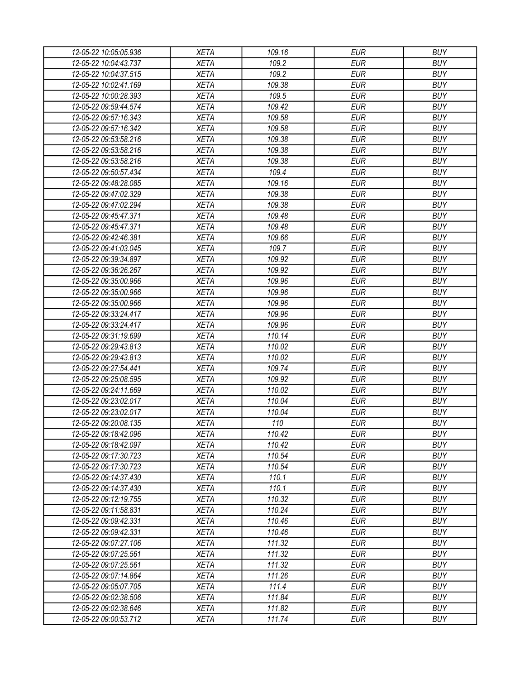| 12-05-22 10:05:05.936 | <b>XETA</b> | 109.16 | EUR        | <b>BUY</b> |
|-----------------------|-------------|--------|------------|------------|
| 12-05-22 10:04:43.737 | <b>XETA</b> | 109.2  | <b>EUR</b> | <b>BUY</b> |
| 12-05-22 10:04:37.515 | <b>XETA</b> | 109.2  | <b>EUR</b> | <b>BUY</b> |
| 12-05-22 10:02:41.169 | <b>XETA</b> | 109.38 | <b>EUR</b> | <b>BUY</b> |
| 12-05-22 10:00:28.393 | <b>XETA</b> | 109.5  | <b>EUR</b> | <b>BUY</b> |
| 12-05-22 09:59:44.574 | <b>XETA</b> | 109.42 | <b>EUR</b> | <b>BUY</b> |
| 12-05-22 09:57:16.343 | <b>XETA</b> | 109.58 | <b>EUR</b> | <b>BUY</b> |
| 12-05-22 09:57:16.342 | <b>XETA</b> | 109.58 | <b>EUR</b> | <b>BUY</b> |
| 12-05-22 09:53:58.216 | <b>XETA</b> | 109.38 | <b>EUR</b> | <b>BUY</b> |
| 12-05-22 09:53:58.216 | <b>XETA</b> | 109.38 | <b>EUR</b> | <b>BUY</b> |
| 12-05-22 09:53:58.216 | <b>XETA</b> | 109.38 | <b>EUR</b> | <b>BUY</b> |
| 12-05-22 09:50:57.434 | <b>XETA</b> | 109.4  | <b>EUR</b> | <b>BUY</b> |
| 12-05-22 09:48:28.085 | <b>XETA</b> | 109.16 | <b>EUR</b> | <b>BUY</b> |
| 12-05-22 09:47:02.329 | <b>XETA</b> | 109.38 | <b>EUR</b> | <b>BUY</b> |
| 12-05-22 09:47:02.294 | <b>XETA</b> | 109.38 | <b>EUR</b> | <b>BUY</b> |
| 12-05-22 09:45:47.371 | <b>XETA</b> | 109.48 | <b>EUR</b> | <b>BUY</b> |
| 12-05-22 09:45:47.371 | <b>XETA</b> | 109.48 | <b>EUR</b> | <b>BUY</b> |
| 12-05-22 09:42:46.381 | <b>XETA</b> | 109.66 | <b>EUR</b> | <b>BUY</b> |
| 12-05-22 09:41:03.045 | <b>XETA</b> | 109.7  | <b>EUR</b> | <b>BUY</b> |
| 12-05-22 09:39:34.897 | <b>XETA</b> | 109.92 | <b>EUR</b> | <b>BUY</b> |
| 12-05-22 09:36:26.267 | <b>XETA</b> | 109.92 | <b>EUR</b> | <b>BUY</b> |
| 12-05-22 09:35:00.966 | <b>XETA</b> | 109.96 | <b>EUR</b> | <b>BUY</b> |
| 12-05-22 09:35:00.966 | <b>XETA</b> | 109.96 | <b>EUR</b> | <b>BUY</b> |
|                       |             |        | <b>EUR</b> | <b>BUY</b> |
| 12-05-22 09:35:00.966 | <b>XETA</b> | 109.96 |            |            |
| 12-05-22 09:33:24.417 | <b>XETA</b> | 109.96 | <b>EUR</b> | <b>BUY</b> |
| 12-05-22 09:33:24.417 | <b>XETA</b> | 109.96 | <b>EUR</b> | <b>BUY</b> |
| 12-05-22 09:31:19.699 | <b>XETA</b> | 110.14 | <b>EUR</b> | <b>BUY</b> |
| 12-05-22 09:29:43.813 | <b>XETA</b> | 110.02 | <b>EUR</b> | <b>BUY</b> |
| 12-05-22 09:29:43.813 | <b>XETA</b> | 110.02 | <b>EUR</b> | <b>BUY</b> |
| 12-05-22 09:27:54.441 | <b>XETA</b> | 109.74 | <b>EUR</b> | <b>BUY</b> |
| 12-05-22 09:25:08.595 | <b>XETA</b> | 109.92 | <b>EUR</b> | <b>BUY</b> |
| 12-05-22 09:24:11.669 | <b>XETA</b> | 110.02 | <b>EUR</b> | <b>BUY</b> |
| 12-05-22 09:23:02.017 | <b>XETA</b> | 110.04 | <b>EUR</b> | <b>BUY</b> |
| 12-05-22 09:23:02.017 | <b>XETA</b> | 110.04 | <b>EUR</b> | <b>BUY</b> |
| 12-05-22 09:20:08.135 | <b>XETA</b> | 110    | <b>EUR</b> | <b>BUY</b> |
| 12-05-22 09:18:42.096 | <b>XETA</b> | 110.42 | <b>EUR</b> | <b>BUY</b> |
| 12-05-22 09:18:42.097 | <b>XETA</b> | 110.42 | <b>EUR</b> | <b>BUY</b> |
| 12-05-22 09:17:30.723 | <b>XETA</b> | 110.54 | <b>EUR</b> | <b>BUY</b> |
| 12-05-22 09:17:30.723 | <b>XETA</b> | 110.54 | <b>EUR</b> | <b>BUY</b> |
| 12-05-22 09:14:37.430 | <b>XETA</b> | 110.1  | <b>EUR</b> | <b>BUY</b> |
| 12-05-22 09:14:37.430 | <b>XETA</b> | 110.1  | <b>EUR</b> | <b>BUY</b> |
| 12-05-22 09:12:19.755 | <b>XETA</b> | 110.32 | <b>EUR</b> | <b>BUY</b> |
| 12-05-22 09:11:58.831 | <b>XETA</b> | 110.24 | <b>EUR</b> | <b>BUY</b> |
| 12-05-22 09:09:42.331 | <b>XETA</b> | 110.46 | <b>EUR</b> | <b>BUY</b> |
| 12-05-22 09:09:42.331 | <b>XETA</b> | 110.46 | <b>EUR</b> | <b>BUY</b> |
| 12-05-22 09:07:27.106 | <b>XETA</b> | 111.32 | <b>EUR</b> | <b>BUY</b> |
| 12-05-22 09:07:25.561 | <b>XETA</b> | 111.32 | <b>EUR</b> | <b>BUY</b> |
| 12-05-22 09:07:25.561 | <b>XETA</b> | 111.32 | <b>EUR</b> | <b>BUY</b> |
| 12-05-22 09:07:14.864 | <b>XETA</b> | 111.26 | <b>EUR</b> | <b>BUY</b> |
| 12-05-22 09:05:07.705 | <b>XETA</b> | 111.4  | <b>EUR</b> | <b>BUY</b> |
| 12-05-22 09:02:38.506 | <b>XETA</b> | 111.84 | EUR        | <b>BUY</b> |
| 12-05-22 09:02:38.646 | <b>XETA</b> | 111.82 | <b>EUR</b> | <b>BUY</b> |
| 12-05-22 09:00:53.712 | <b>XETA</b> | 111.74 | <b>EUR</b> | <b>BUY</b> |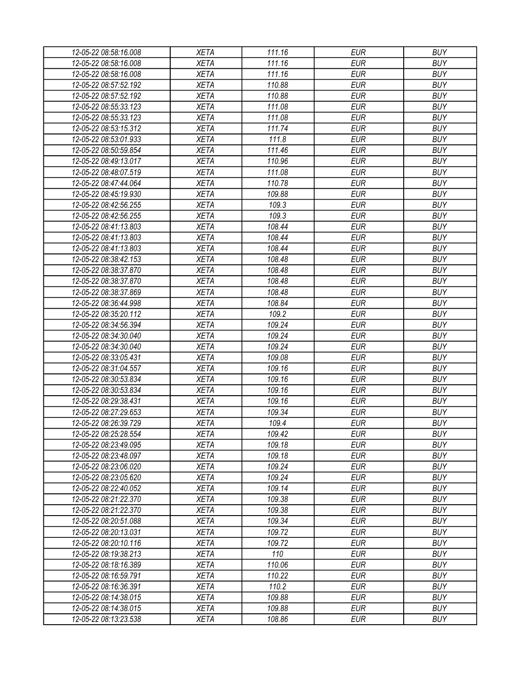| 12-05-22 08:58:16.008 | <b>XETA</b> | 111.16 | <b>EUR</b>               | <b>BUY</b> |
|-----------------------|-------------|--------|--------------------------|------------|
| 12-05-22 08:58:16.008 | <b>XETA</b> | 111.16 | <b>EUR</b>               | <b>BUY</b> |
| 12-05-22 08:58:16.008 | <b>XETA</b> | 111.16 | <b>EUR</b>               | <b>BUY</b> |
| 12-05-22 08:57:52.192 | <b>XETA</b> | 110.88 | <b>EUR</b>               | <b>BUY</b> |
| 12-05-22 08:57:52.192 | <b>XETA</b> | 110.88 | <b>EUR</b>               | <b>BUY</b> |
| 12-05-22 08:55:33.123 | <b>XETA</b> | 111.08 | <b>EUR</b>               | <b>BUY</b> |
| 12-05-22 08:55:33.123 | <b>XETA</b> | 111.08 | <b>EUR</b>               | <b>BUY</b> |
| 12-05-22 08:53:15.312 | <b>XETA</b> | 111.74 | <b>EUR</b>               | <b>BUY</b> |
| 12-05-22 08:53:01.933 | <b>XETA</b> | 111.8  | <b>EUR</b>               | <b>BUY</b> |
| 12-05-22 08:50:59.854 | <b>XETA</b> | 111.46 | <b>EUR</b>               | <b>BUY</b> |
| 12-05-22 08:49:13.017 | <b>XETA</b> | 110.96 | <b>EUR</b>               | <b>BUY</b> |
| 12-05-22 08:48:07.519 | <b>XETA</b> | 111.08 | <b>EUR</b>               | <b>BUY</b> |
| 12-05-22 08:47:44.064 | <b>XETA</b> | 110.78 | <b>EUR</b>               | <b>BUY</b> |
| 12-05-22 08:45:19.930 | <b>XETA</b> | 109.88 | <b>EUR</b>               | <b>BUY</b> |
| 12-05-22 08:42:56.255 | <b>XETA</b> | 109.3  | <b>EUR</b>               | <b>BUY</b> |
| 12-05-22 08:42:56.255 | <b>XETA</b> | 109.3  | <b>EUR</b>               | <b>BUY</b> |
| 12-05-22 08:41:13.803 | <b>XETA</b> | 108.44 | <b>EUR</b>               | <b>BUY</b> |
| 12-05-22 08:41:13.803 | <b>XETA</b> | 108.44 | <b>EUR</b>               | <b>BUY</b> |
| 12-05-22 08:41:13.803 | <b>XETA</b> | 108.44 | <b>EUR</b>               | <b>BUY</b> |
| 12-05-22 08:38:42.153 | <b>XETA</b> | 108.48 | <b>EUR</b>               | <b>BUY</b> |
| 12-05-22 08:38:37.870 | <b>XETA</b> | 108.48 | <b>EUR</b>               | <b>BUY</b> |
| 12-05-22 08:38:37.870 | <b>XETA</b> | 108.48 | <b>EUR</b>               | <b>BUY</b> |
| 12-05-22 08:38:37.869 | <b>XETA</b> | 108.48 | <b>EUR</b>               | <b>BUY</b> |
| 12-05-22 08:36:44.998 | <b>XETA</b> | 108.84 | <b>EUR</b>               | <b>BUY</b> |
| 12-05-22 08:35:20.112 | <b>XETA</b> | 109.2  | <b>EUR</b>               | <b>BUY</b> |
| 12-05-22 08:34:56.394 | <b>XETA</b> | 109.24 | <b>EUR</b>               | <b>BUY</b> |
| 12-05-22 08:34:30.040 | <b>XETA</b> | 109.24 | <b>EUR</b>               | <b>BUY</b> |
| 12-05-22 08:34:30.040 | <b>XETA</b> | 109.24 | <b>EUR</b>               | <b>BUY</b> |
| 12-05-22 08:33:05.431 | <b>XETA</b> | 109.08 | <b>EUR</b>               | <b>BUY</b> |
| 12-05-22 08:31:04.557 | <b>XETA</b> | 109.16 | <b>EUR</b>               | <b>BUY</b> |
| 12-05-22 08:30:53.834 | <b>XETA</b> | 109.16 | <b>EUR</b>               | <b>BUY</b> |
| 12-05-22 08:30:53.834 | <b>XETA</b> | 109.16 | <b>EUR</b>               | <b>BUY</b> |
| 12-05-22 08:29:38.431 | <b>XETA</b> | 109.16 | <b>EUR</b>               | <b>BUY</b> |
| 12-05-22 08:27:29.653 | <b>XETA</b> | 109.34 | <b>EUR</b>               | <b>BUY</b> |
| 12-05-22 08:26:39.729 | <b>XETA</b> | 109.4  | <b>EUR</b>               | <b>BUY</b> |
| 12-05-22 08:25:28.554 | <b>XETA</b> | 109.42 |                          | <b>BUY</b> |
|                       | <b>XETA</b> | 109.18 | <b>EUR</b><br><b>EUR</b> | <b>BUY</b> |
| 12-05-22 08:23:49.095 |             |        |                          | <b>BUY</b> |
| 12-05-22 08:23:48.097 | <b>XETA</b> | 109.18 | <b>EUR</b>               |            |
| 12-05-22 08:23:06.020 | <b>XETA</b> | 109.24 | <b>EUR</b>               | <b>BUY</b> |
| 12-05-22 08:23:05.620 | <b>XETA</b> | 109.24 | <b>EUR</b>               | <b>BUY</b> |
| 12-05-22 08:22:40.052 | <b>XETA</b> | 109.14 | <b>EUR</b>               | <b>BUY</b> |
| 12-05-22 08:21:22.370 | <b>XETA</b> | 109.38 | <b>EUR</b>               | <b>BUY</b> |
| 12-05-22 08:21:22.370 | <b>XETA</b> | 109.38 | <b>EUR</b>               | <b>BUY</b> |
| 12-05-22 08:20:51.088 | <b>XETA</b> | 109.34 | <b>EUR</b>               | <b>BUY</b> |
| 12-05-22 08:20:13.031 | <b>XETA</b> | 109.72 | <b>EUR</b>               | <b>BUY</b> |
| 12-05-22 08:20:10.116 | <b>XETA</b> | 109.72 | <b>EUR</b>               | <b>BUY</b> |
| 12-05-22 08:19:38.213 | <b>XETA</b> | 110    | <b>EUR</b>               | <b>BUY</b> |
| 12-05-22 08:18:16.389 | <b>XETA</b> | 110.06 | <b>EUR</b>               | <b>BUY</b> |
| 12-05-22 08:16:59.791 | <b>XETA</b> | 110.22 | <b>EUR</b>               | <b>BUY</b> |
| 12-05-22 08:16:36.391 | <b>XETA</b> | 110.2  | <b>EUR</b>               | <b>BUY</b> |
| 12-05-22 08:14:38.015 | <b>XETA</b> | 109.88 | <b>EUR</b>               | <b>BUY</b> |
| 12-05-22 08:14:38.015 | XETA        | 109.88 | <b>EUR</b>               | <b>BUY</b> |
| 12-05-22 08:13:23.538 | XETA        | 108.86 | <b>EUR</b>               | <b>BUY</b> |